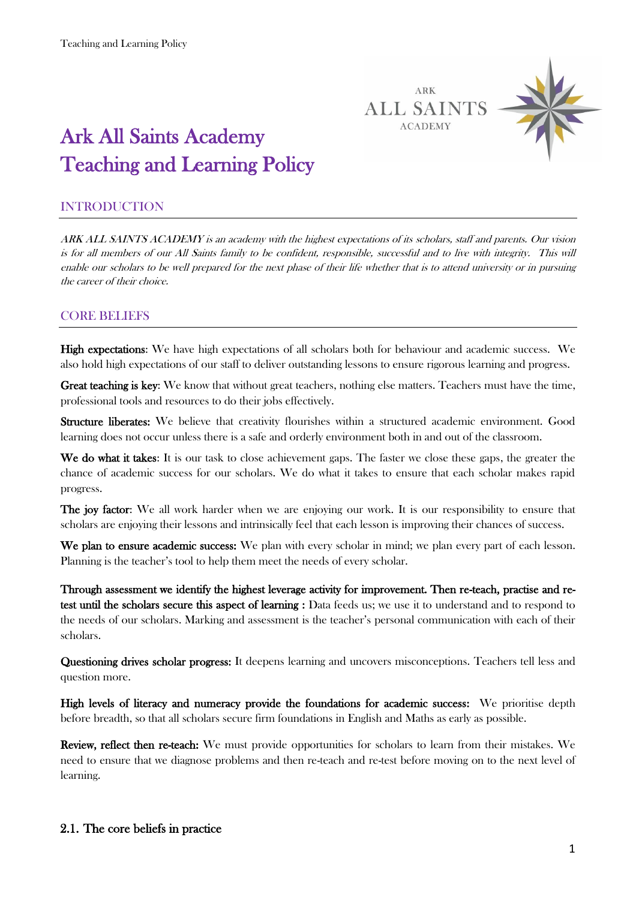

# Ark All Saints Academy Teaching and Learning Policy

# INTRODUCTION

ARK ALL SAINTS ACADEMY is an academy with the highest expectations of its scholars, staff and parents. Our vision is for all members of our All Saints family to be confident, responsible, successful and to live with integrity. This will enable our scholars to be well prepared for the next phase of their life whether that is to attend university or in pursuing the career of their choice.

# CORE BELIEFS

High expectations: We have high expectations of all scholars both for behaviour and academic success. We also hold high expectations of our staff to deliver outstanding lessons to ensure rigorous learning and progress.

Great teaching is key: We know that without great teachers, nothing else matters. Teachers must have the time, professional tools and resources to do their jobs effectively.

Structure liberates: We believe that creativity flourishes within a structured academic environment. Good learning does not occur unless there is a safe and orderly environment both in and out of the classroom.

We do what it takes: It is our task to close achievement gaps. The faster we close these gaps, the greater the chance of academic success for our scholars. We do what it takes to ensure that each scholar makes rapid progress.

The joy factor: We all work harder when we are enjoying our work. It is our responsibility to ensure that scholars are enjoying their lessons and intrinsically feel that each lesson is improving their chances of success.

We plan to ensure academic success: We plan with every scholar in mind; we plan every part of each lesson. Planning is the teacher's tool to help them meet the needs of every scholar.

Through assessment we identify the highest leverage activity for improvement. Then re-teach, practise and retest until the scholars secure this aspect of learning : Data feeds us; we use it to understand and to respond to the needs of our scholars. Marking and assessment is the teacher's personal communication with each of their scholars.

Questioning drives scholar progress: It deepens learning and uncovers misconceptions. Teachers tell less and question more.

High levels of literacy and numeracy provide the foundations for academic success: We prioritise depth before breadth, so that all scholars secure firm foundations in English and Maths as early as possible.

Review, reflect then re-teach: We must provide opportunities for scholars to learn from their mistakes. We need to ensure that we diagnose problems and then re-teach and re-test before moving on to the next level of learning.

#### 2.1. The core beliefs in practice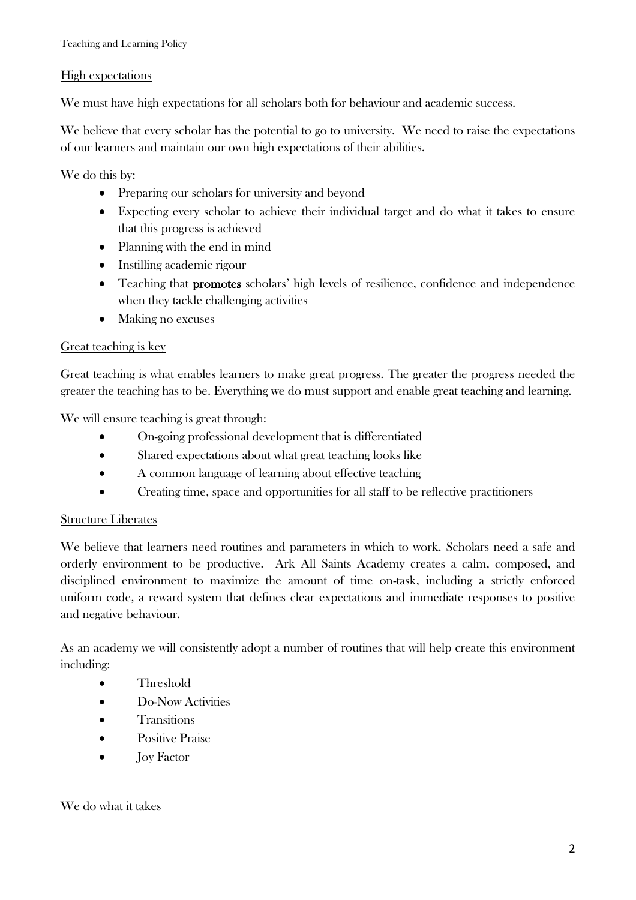#### High expectations

We must have high expectations for all scholars both for behaviour and academic success.

We believe that every scholar has the potential to go to university. We need to raise the expectations of our learners and maintain our own high expectations of their abilities.

We do this by:

- Preparing our scholars for university and beyond
- Expecting every scholar to achieve their individual target and do what it takes to ensure that this progress is achieved
- Planning with the end in mind
- Instilling academic rigour
- Teaching that **promotes** scholars' high levels of resilience, confidence and independence when they tackle challenging activities
- Making no excuses

#### Great teaching is key

Great teaching is what enables learners to make great progress. The greater the progress needed the greater the teaching has to be. Everything we do must support and enable great teaching and learning.

We will ensure teaching is great through:

- On-going professional development that is differentiated
- Shared expectations about what great teaching looks like
- A common language of learning about effective teaching
- Creating time, space and opportunities for all staff to be reflective practitioners

### Structure Liberates

We believe that learners need routines and parameters in which to work. Scholars need a safe and orderly environment to be productive. Ark All Saints Academy creates a calm, composed, and disciplined environment to maximize the amount of time on-task, including a strictly enforced uniform code, a reward system that defines clear expectations and immediate responses to positive and negative behaviour.

As an academy we will consistently adopt a number of routines that will help create this environment including:

- Threshold
- Do-Now Activities
- **•** Transitions
- **•** Positive Praise
- Joy Factor

#### We do what it takes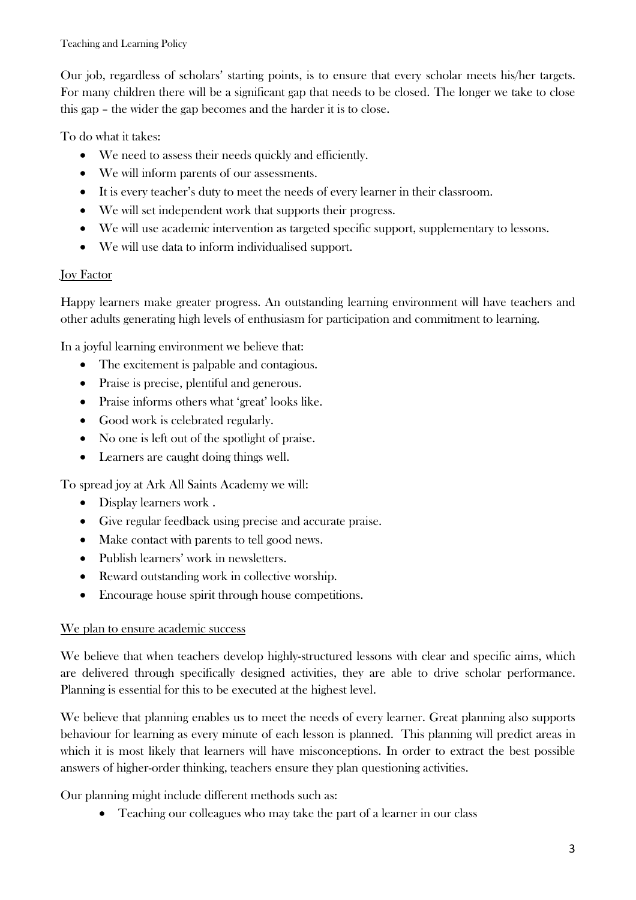Our job, regardless of scholars' starting points, is to ensure that every scholar meets his/her targets. For many children there will be a significant gap that needs to be closed. The longer we take to close this gap – the wider the gap becomes and the harder it is to close.

To do what it takes:

- We need to assess their needs quickly and efficiently.
- We will inform parents of our assessments.
- It is every teacher's duty to meet the needs of every learner in their classroom.
- We will set independent work that supports their progress.
- We will use academic intervention as targeted specific support, supplementary to lessons.
- We will use data to inform individualised support.

# **Joy Factor**

Happy learners make greater progress. An outstanding learning environment will have teachers and other adults generating high levels of enthusiasm for participation and commitment to learning.

In a joyful learning environment we believe that:

- The excitement is palpable and contagious.
- Praise is precise, plentiful and generous.
- Praise informs others what 'great' looks like.
- Good work is celebrated regularly.
- No one is left out of the spotlight of praise.
- Learners are caught doing things well.

To spread joy at Ark All Saints Academy we will:

- Display learners work.
- Give regular feedback using precise and accurate praise.
- Make contact with parents to tell good news.
- Publish learners' work in newsletters.
- Reward outstanding work in collective worship.
- Encourage house spirit through house competitions.

# We plan to ensure academic success

We believe that when teachers develop highly-structured lessons with clear and specific aims, which are delivered through specifically designed activities, they are able to drive scholar performance. Planning is essential for this to be executed at the highest level.

We believe that planning enables us to meet the needs of every learner. Great planning also supports behaviour for learning as every minute of each lesson is planned. This planning will predict areas in which it is most likely that learners will have misconceptions. In order to extract the best possible answers of higher-order thinking, teachers ensure they plan questioning activities.

Our planning might include different methods such as:

• Teaching our colleagues who may take the part of a learner in our class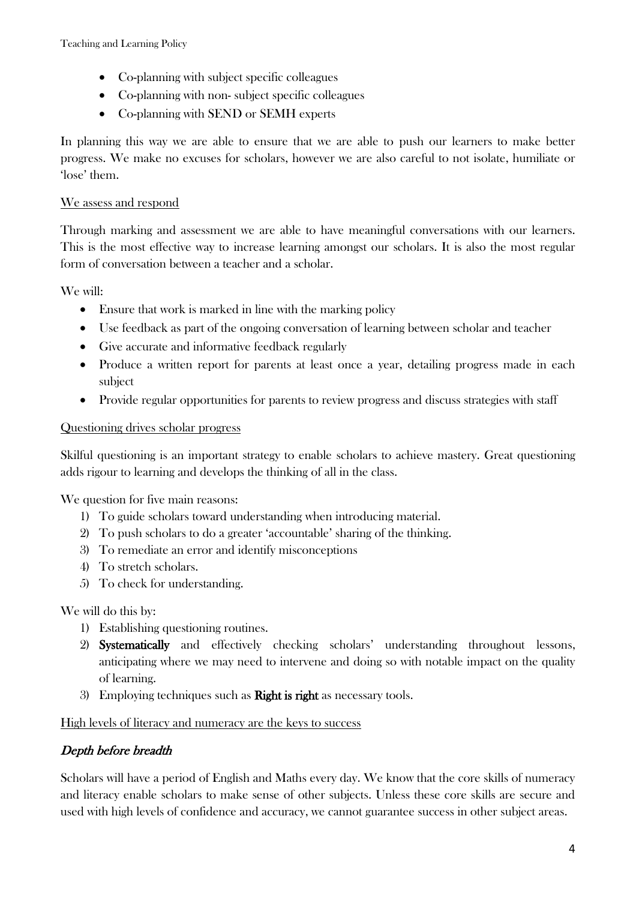- Co-planning with subject specific colleagues
- Co-planning with non-subject specific colleagues
- Co-planning with SEND or SEMH experts

In planning this way we are able to ensure that we are able to push our learners to make better progress. We make no excuses for scholars, however we are also careful to not isolate, humiliate or 'lose' them.

### We assess and respond

Through marking and assessment we are able to have meaningful conversations with our learners. This is the most effective way to increase learning amongst our scholars. It is also the most regular form of conversation between a teacher and a scholar.

We will:

- Ensure that work is marked in line with the marking policy
- Use feedback as part of the ongoing conversation of learning between scholar and teacher
- Give accurate and informative feedback regularly
- Produce a written report for parents at least once a year, detailing progress made in each subject
- Provide regular opportunities for parents to review progress and discuss strategies with staff

### Questioning drives scholar progress

Skilful questioning is an important strategy to enable scholars to achieve mastery. Great questioning adds rigour to learning and develops the thinking of all in the class.

We question for five main reasons:

- 1) To guide scholars toward understanding when introducing material.
- 2) To push scholars to do a greater 'accountable' sharing of the thinking.
- 3) To remediate an error and identify misconceptions
- 4) To stretch scholars.
- 5) To check for understanding.

We will do this by:

- 1) Establishing questioning routines.
- 2) Systematically and effectively checking scholars' understanding throughout lessons, anticipating where we may need to intervene and doing so with notable impact on the quality of learning.
- 3) Employing techniques such as Right is right as necessary tools.

High levels of literacy and numeracy are the keys to success

# Depth before breadth

Scholars will have a period of English and Maths every day. We know that the core skills of numeracy and literacy enable scholars to make sense of other subjects. Unless these core skills are secure and used with high levels of confidence and accuracy, we cannot guarantee success in other subject areas.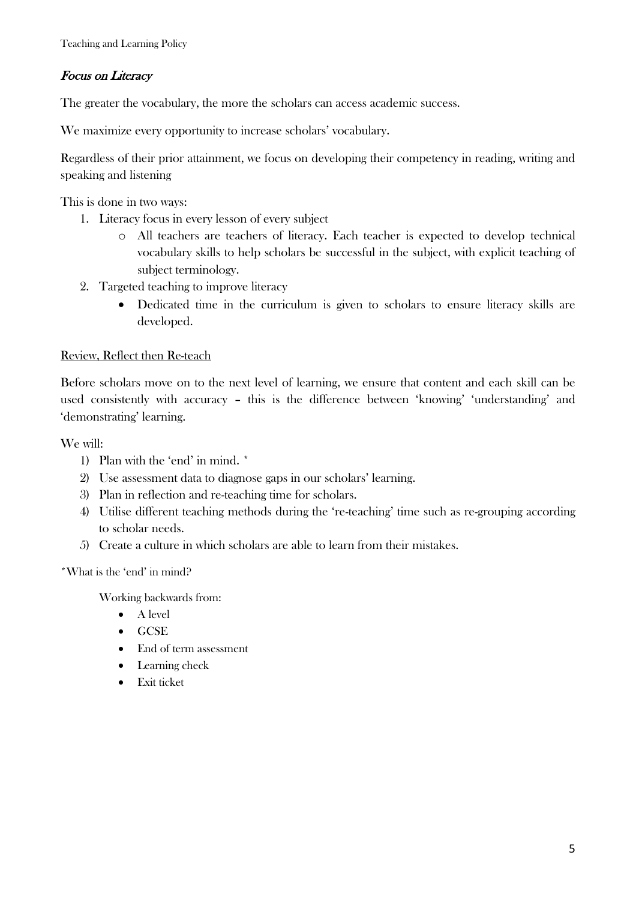# Focus on Literacy

The greater the vocabulary, the more the scholars can access academic success.

We maximize every opportunity to increase scholars' vocabulary.

Regardless of their prior attainment, we focus on developing their competency in reading, writing and speaking and listening

This is done in two ways:

- 1. Literacy focus in every lesson of every subject
	- o All teachers are teachers of literacy. Each teacher is expected to develop technical vocabulary skills to help scholars be successful in the subject, with explicit teaching of subject terminology.
- 2. Targeted teaching to improve literacy
	- Dedicated time in the curriculum is given to scholars to ensure literacy skills are developed.

### Review, Reflect then Re-teach

Before scholars move on to the next level of learning, we ensure that content and each skill can be used consistently with accuracy – this is the difference between 'knowing' 'understanding' and 'demonstrating' learning.

#### We will:

- 1) Plan with the 'end' in mind. \*
- 2) Use assessment data to diagnose gaps in our scholars' learning.
- 3) Plan in reflection and re-teaching time for scholars.
- 4) Utilise different teaching methods during the 're-teaching' time such as re-grouping according to scholar needs.
- 5) Create a culture in which scholars are able to learn from their mistakes.

\*What is the 'end' in mind?

Working backwards from:

- $\bullet$  A level
- GCSE
- End of term assessment
- Learning check
- Exit ticket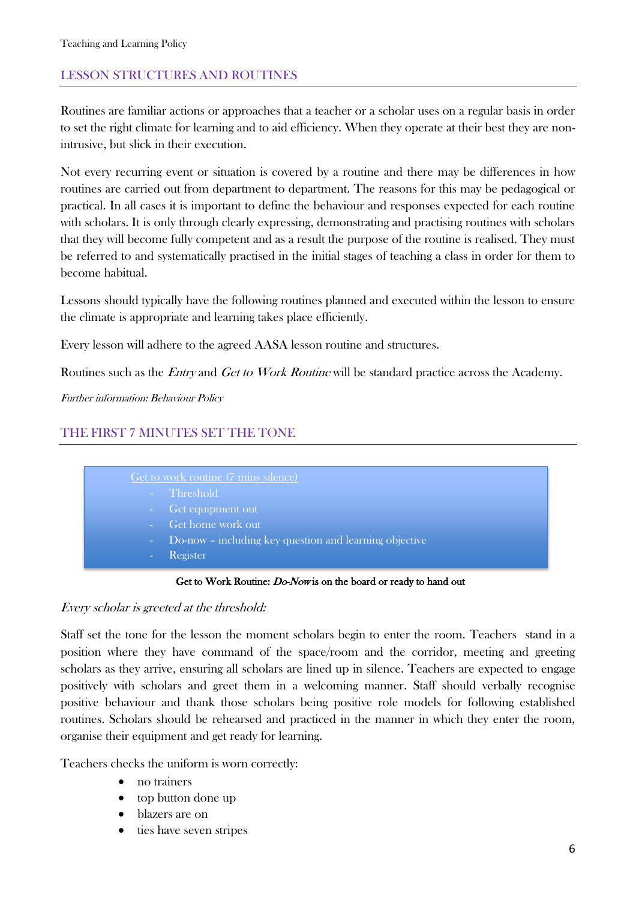# LESSON STRUCTURES AND ROUTINES

Routines are familiar actions or approaches that a teacher or a scholar uses on a regular basis in order to set the right climate for learning and to aid efficiency. When they operate at their best they are nonintrusive, but slick in their execution.

Not every recurring event or situation is covered by a routine and there may be differences in how routines are carried out from department to department. The reasons for this may be pedagogical or practical. In all cases it is important to define the behaviour and responses expected for each routine with scholars. It is only through clearly expressing, demonstrating and practising routines with scholars that they will become fully competent and as a result the purpose of the routine is realised. They must be referred to and systematically practised in the initial stages of teaching a class in order for them to become habitual.

Lessons should typically have the following routines planned and executed within the lesson to ensure the climate is appropriate and learning takes place efficiently.

Every lesson will adhere to the agreed AASA lesson routine and structures.

Routines such as the *Entry* and *Get to Work Routine* will be standard practice across the Academy.

Further information: Behaviour Policy

# THE FIRST 7 MINUTES SET THE TONE

# Get to work routine (7 mins silence) Threshold Get equipment out Get home work out Do-now – including key question and learning objective **Register**

#### Get to Work Routine: *Do-Now* is on the board or ready to hand out

### Every scholar is greeted at the threshold:

Staff set the tone for the lesson the moment scholars begin to enter the room. Teachers stand in a position where they have command of the space/room and the corridor, meeting and greeting scholars as they arrive, ensuring all scholars are lined up in silence. Teachers are expected to engage positively with scholars and greet them in a welcoming manner. Staff should verbally recognise positive behaviour and thank those scholars being positive role models for following established routines. Scholars should be rehearsed and practiced in the manner in which they enter the room, organise their equipment and get ready for learning.

Teachers checks the uniform is worn correctly:

- no trainers
- top button done up
- blazers are on
- ties have seven stripes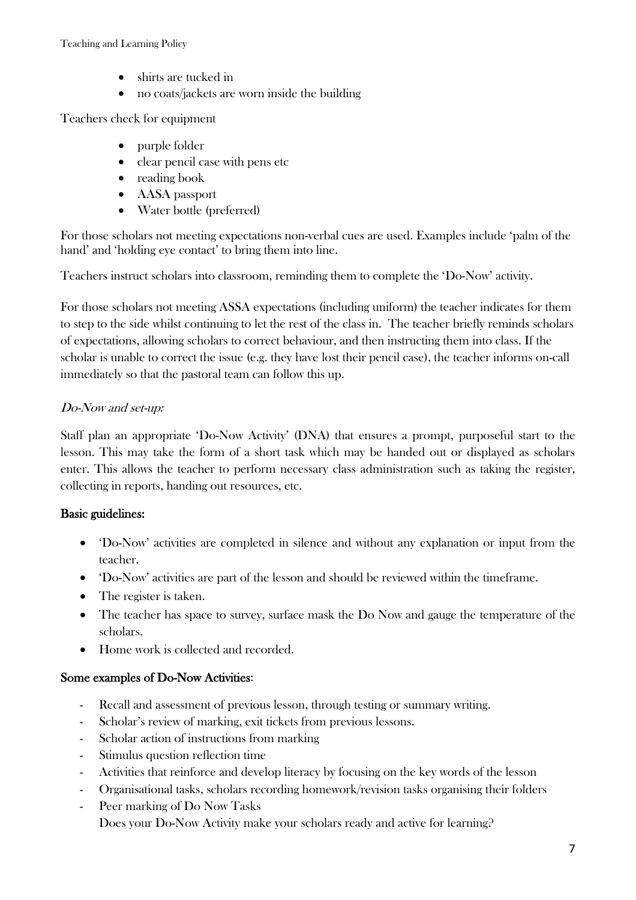- shirts are tucked in
- no coats/jackets are worn inside the building

Teachers check for equipment

- purple folder
- clear pencil case with pens etc
- reading book
- AASA passport
- Water bottle (preferred)

For those scholars not meeting expectations non-verbal cues are used. Examples include 'palm of the hand' and 'holding eye contact' to bring them into line.

Teachers instruct scholars into classroom, reminding them to complete the 'Do-Now' activity.

For those scholars not meeting ASSA expectations (including uniform) the teacher indicates for them to step to the side whilst continuing to let the rest of the class in. The teacher briefly reminds scholars of expectations, allowing scholars to correct behaviour, and then instructing them into class. If the scholar is unable to correct the issue (e.g. they have lost their pencil case), the teacher informs on-call immediately so that the pastoral team can follow this up.

# Do-Now and set-up:

Staff plan an appropriate 'Do-Now Activity' (DNA) that ensures a prompt, purposeful start to the lesson. This may take the form of a short task which may be handed out or displayed as scholars enter. This allows the teacher to perform necessary class administration such as taking the register, collecting in reports, handing out resources, etc.

# Basic guidelines:

- 'Do-Now' activities are completed in silence and without any explanation or input from the teacher.
- 'Do-Now' activities are part of the lesson and should be reviewed within the timeframe.
- The register is taken.
- The teacher has space to survey, surface mask the Do Now and gauge the temperature of the scholars.
- Home work is collected and recorded.

### Some examples of Do-Now Activities:

- Recall and assessment of previous lesson, through testing or summary writing.
- Scholar's review of marking, exit tickets from previous lessons.
- Scholar action of instructions from marking
- Stimulus question reflection time
- Activities that reinforce and develop literacy by focusing on the key words of the lesson
- Organisational tasks, scholars recording homework/revision tasks organising their folders
- Peer marking of Do Now Tasks Does your Do-Now Activity make your scholars ready and active for learning?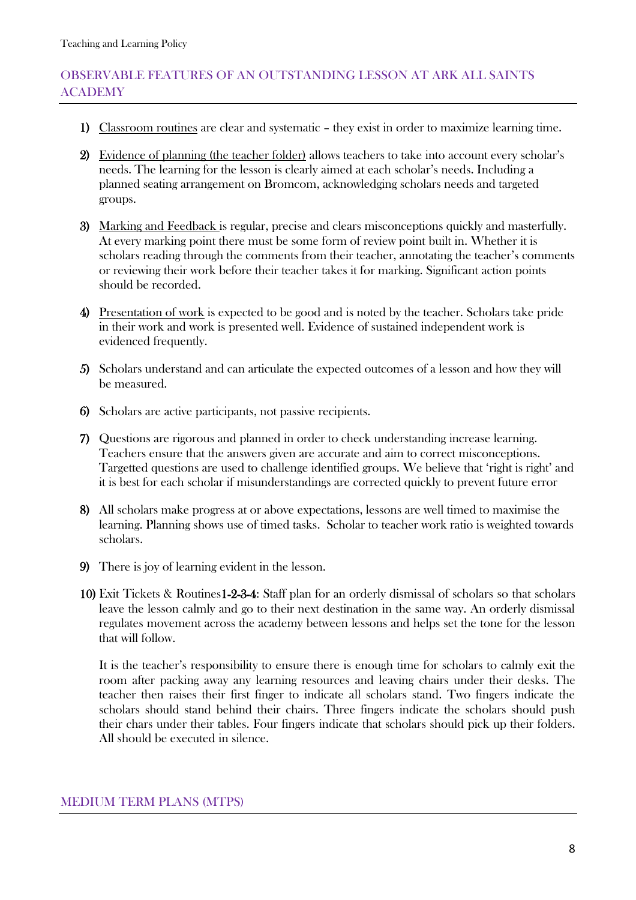# OBSERVABLE FEATURES OF AN OUTSTANDING LESSON AT ARK ALL SAINTS ACADEMY

- 1) Classroom routines are clear and systematic they exist in order to maximize learning time.
- 2) Evidence of planning (the teacher folder) allows teachers to take into account every scholar's needs. The learning for the lesson is clearly aimed at each scholar's needs. Including a planned seating arrangement on Bromcom, acknowledging scholars needs and targeted groups.
- 3) Marking and Feedback is regular, precise and clears misconceptions quickly and masterfully. At every marking point there must be some form of review point built in. Whether it is scholars reading through the comments from their teacher, annotating the teacher's comments or reviewing their work before their teacher takes it for marking. Significant action points should be recorded.
- 4) Presentation of work is expected to be good and is noted by the teacher. Scholars take pride in their work and work is presented well. Evidence of sustained independent work is evidenced frequently.
- 5) Scholars understand and can articulate the expected outcomes of a lesson and how they will be measured.
- 6) Scholars are active participants, not passive recipients.
- 7) Questions are rigorous and planned in order to check understanding increase learning. Teachers ensure that the answers given are accurate and aim to correct misconceptions. Targetted questions are used to challenge identified groups. We believe that 'right is right' and it is best for each scholar if misunderstandings are corrected quickly to prevent future error
- 8) All scholars make progress at or above expectations, lessons are well timed to maximise the learning. Planning shows use of timed tasks. Scholar to teacher work ratio is weighted towards scholars.
- 9) There is joy of learning evident in the lesson.
- 10) Exit Tickets & Routines1-2-3-4: Staff plan for an orderly dismissal of scholars so that scholars leave the lesson calmly and go to their next destination in the same way. An orderly dismissal regulates movement across the academy between lessons and helps set the tone for the lesson that will follow.

It is the teacher's responsibility to ensure there is enough time for scholars to calmly exit the room after packing away any learning resources and leaving chairs under their desks. The teacher then raises their first finger to indicate all scholars stand. Two fingers indicate the scholars should stand behind their chairs. Three fingers indicate the scholars should push their chars under their tables. Four fingers indicate that scholars should pick up their folders. All should be executed in silence.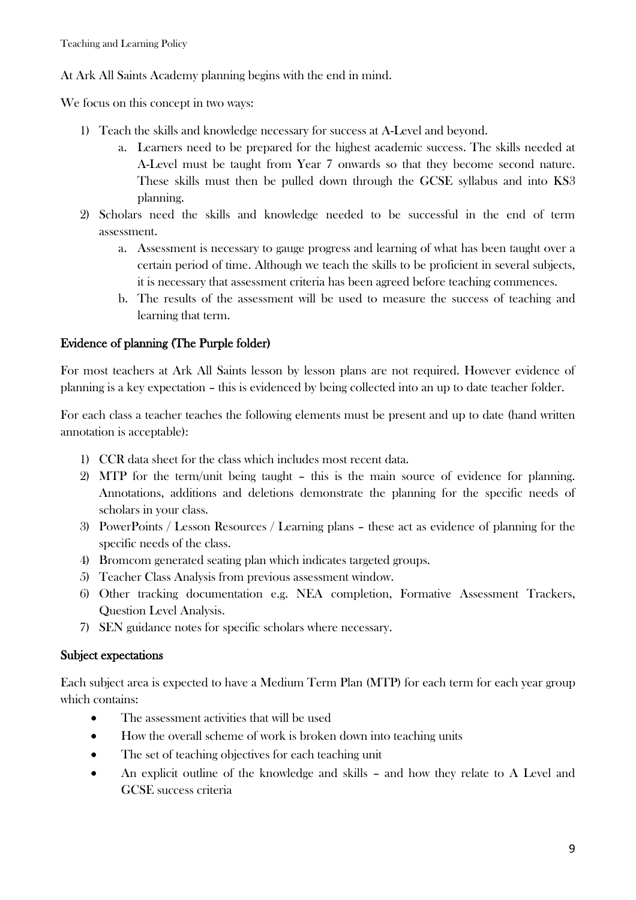At Ark All Saints Academy planning begins with the end in mind.

We focus on this concept in two ways:

- 1) Teach the skills and knowledge necessary for success at A-Level and beyond.
	- a. Learners need to be prepared for the highest academic success. The skills needed at A-Level must be taught from Year 7 onwards so that they become second nature. These skills must then be pulled down through the GCSE syllabus and into KS3 planning.
- 2) Scholars need the skills and knowledge needed to be successful in the end of term assessment.
	- a. Assessment is necessary to gauge progress and learning of what has been taught over a certain period of time. Although we teach the skills to be proficient in several subjects, it is necessary that assessment criteria has been agreed before teaching commences.
	- b. The results of the assessment will be used to measure the success of teaching and learning that term.

# Evidence of planning (The Purple folder)

For most teachers at Ark All Saints lesson by lesson plans are not required. However evidence of planning is a key expectation – this is evidenced by being collected into an up to date teacher folder.

For each class a teacher teaches the following elements must be present and up to date (hand written annotation is acceptable):

- 1) CCR data sheet for the class which includes most recent data.
- 2) MTP for the term/unit being taught this is the main source of evidence for planning. Annotations, additions and deletions demonstrate the planning for the specific needs of scholars in your class.
- 3) PowerPoints / Lesson Resources / Learning plans these act as evidence of planning for the specific needs of the class.
- 4) Bromcom generated seating plan which indicates targeted groups.
- 5) Teacher Class Analysis from previous assessment window.
- 6) Other tracking documentation e.g. NEA completion, Formative Assessment Trackers, Question Level Analysis.
- 7) SEN guidance notes for specific scholars where necessary.

# Subject expectations

Each subject area is expected to have a Medium Term Plan (MTP) for each term for each year group which contains:

- The assessment activities that will be used
- How the overall scheme of work is broken down into teaching units
- The set of teaching objectives for each teaching unit
- An explicit outline of the knowledge and skills and how they relate to A Level and GCSE success criteria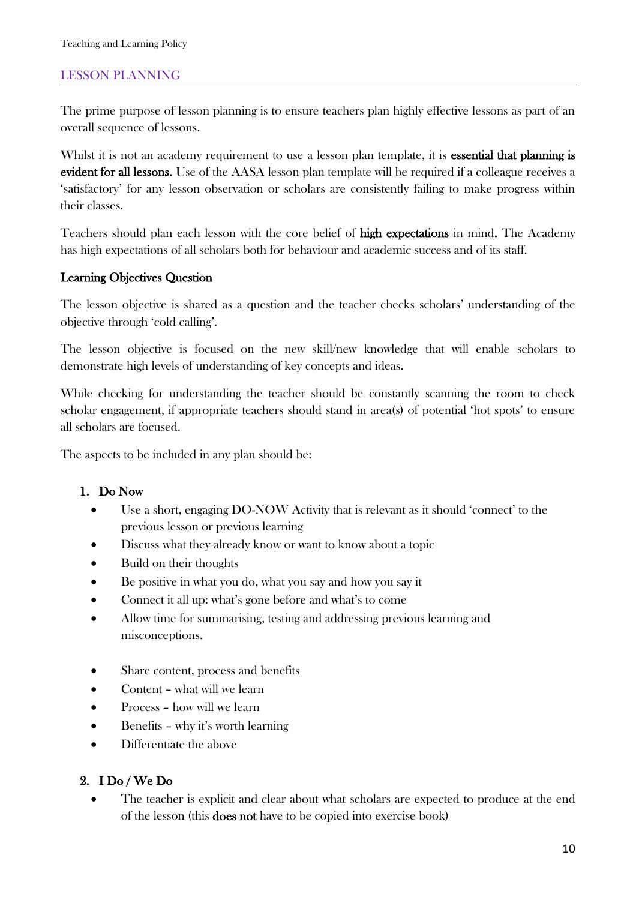# LESSON PLANNING

The prime purpose of lesson planning is to ensure teachers plan highly effective lessons as part of an overall sequence of lessons.

Whilst it is not an academy requirement to use a lesson plan template, it is **essential that planning is** evident for all lessons. Use of the AASA lesson plan template will be required if a colleague receives a 'satisfactory' for any lesson observation or scholars are consistently failing to make progress within their classes.

Teachers should plan each lesson with the core belief of high expectations in mind. The Academy has high expectations of all scholars both for behaviour and academic success and of its staff.

#### Learning Objectives Question

The lesson objective is shared as a question and the teacher checks scholars' understanding of the objective through 'cold calling'.

The lesson objective is focused on the new skill/new knowledge that will enable scholars to demonstrate high levels of understanding of key concepts and ideas.

While checking for understanding the teacher should be constantly scanning the room to check scholar engagement, if appropriate teachers should stand in area(s) of potential 'hot spots' to ensure all scholars are focused.

The aspects to be included in any plan should be:

#### 1. Do Now

- Use a short, engaging DO-NOW Activity that is relevant as it should 'connect' to the previous lesson or previous learning
- Discuss what they already know or want to know about a topic
- Build on their thoughts
- Be positive in what you do, what you say and how you say it
- Connect it all up: what's gone before and what's to come
- Allow time for summarising, testing and addressing previous learning and misconceptions.
- Share content, process and benefits
- Content what will we learn
- Process how will we learn
- Benefits why it's worth learning
- Differentiate the above

#### 2. I Do / We Do

 The teacher is explicit and clear about what scholars are expected to produce at the end of the lesson (this does not have to be copied into exercise book)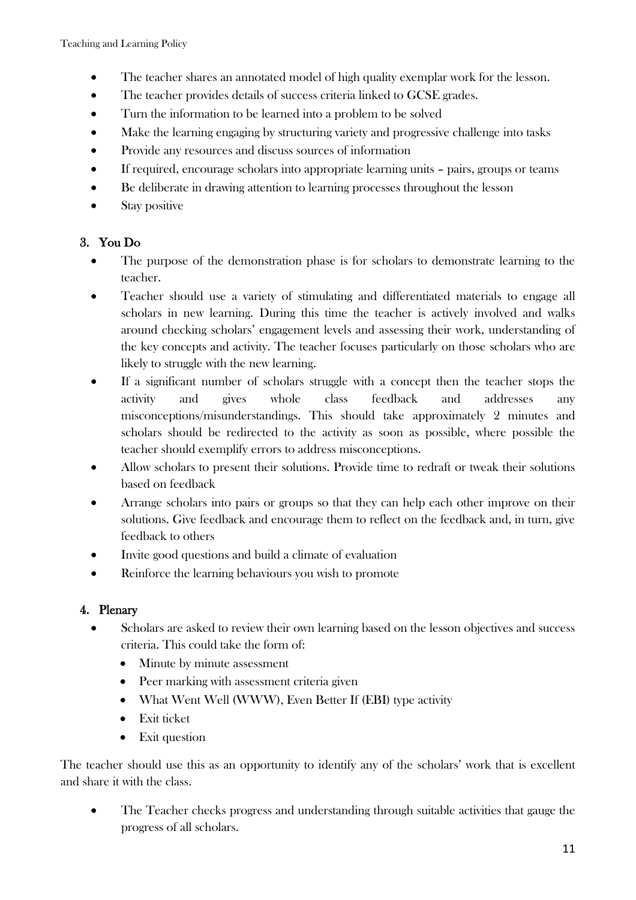- The teacher shares an annotated model of high quality exemplar work for the lesson.
- The teacher provides details of success criteria linked to GCSE grades.
- Turn the information to be learned into a problem to be solved
- Make the learning engaging by structuring variety and progressive challenge into tasks
- Provide any resources and discuss sources of information
- If required, encourage scholars into appropriate learning units pairs, groups or teams
- Be deliberate in drawing attention to learning processes throughout the lesson
- Stay positive

# 3. You Do

- The purpose of the demonstration phase is for scholars to demonstrate learning to the teacher.
- Teacher should use a variety of stimulating and differentiated materials to engage all scholars in new learning. During this time the teacher is actively involved and walks around checking scholars' engagement levels and assessing their work, understanding of the key concepts and activity. The teacher focuses particularly on those scholars who are likely to struggle with the new learning.
- If a significant number of scholars struggle with a concept then the teacher stops the activity and gives whole class feedback and addresses any misconceptions/misunderstandings. This should take approximately 2 minutes and scholars should be redirected to the activity as soon as possible, where possible the teacher should exemplify errors to address misconceptions.
- Allow scholars to present their solutions. Provide time to redraft or tweak their solutions based on feedback
- Arrange scholars into pairs or groups so that they can help each other improve on their solutions. Give feedback and encourage them to reflect on the feedback and, in turn, give feedback to others
- Invite good questions and build a climate of evaluation
- Reinforce the learning behaviours you wish to promote

# 4. Plenary

- Scholars are asked to review their own learning based on the lesson objectives and success criteria. This could take the form of:
	- Minute by minute assessment
	- Peer marking with assessment criteria given
	- What Went Well (WWW), Even Better If (EBI) type activity
	- Exit ticket
	- Exit question

The teacher should use this as an opportunity to identify any of the scholars' work that is excellent and share it with the class.

 The Teacher checks progress and understanding through suitable activities that gauge the progress of all scholars.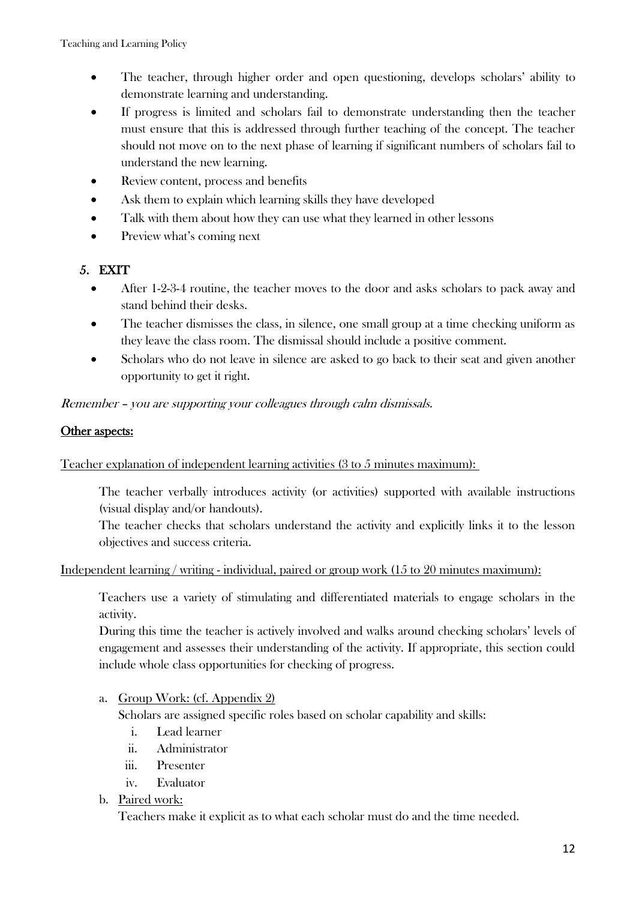- The teacher, through higher order and open questioning, develops scholars' ability to demonstrate learning and understanding.
- If progress is limited and scholars fail to demonstrate understanding then the teacher must ensure that this is addressed through further teaching of the concept. The teacher should not move on to the next phase of learning if significant numbers of scholars fail to understand the new learning.
- Review content, process and benefits
- Ask them to explain which learning skills they have developed
- Talk with them about how they can use what they learned in other lessons
- Preview what's coming next

# 5. EXIT

- After 1-2-3-4 routine, the teacher moves to the door and asks scholars to pack away and stand behind their desks.
- The teacher dismisses the class, in silence, one small group at a time checking uniform as they leave the class room. The dismissal should include a positive comment.
- Scholars who do not leave in silence are asked to go back to their seat and given another opportunity to get it right.

# Remember – you are supporting your colleagues through calm dismissals.

# Other aspects:

### Teacher explanation of independent learning activities (3 to 5 minutes maximum):

The teacher verbally introduces activity (or activities) supported with available instructions (visual display and/or handouts).

The teacher checks that scholars understand the activity and explicitly links it to the lesson objectives and success criteria.

### Independent learning / writing - individual, paired or group work (15 to 20 minutes maximum):

Teachers use a variety of stimulating and differentiated materials to engage scholars in the activity.

During this time the teacher is actively involved and walks around checking scholars' levels of engagement and assesses their understanding of the activity. If appropriate, this section could include whole class opportunities for checking of progress.

### a. Group Work: (cf. Appendix 2)

Scholars are assigned specific roles based on scholar capability and skills:

- i. Lead learner
- ii. Administrator
- iii. Presenter
- iv. Evaluator

### b. Paired work:

Teachers make it explicit as to what each scholar must do and the time needed.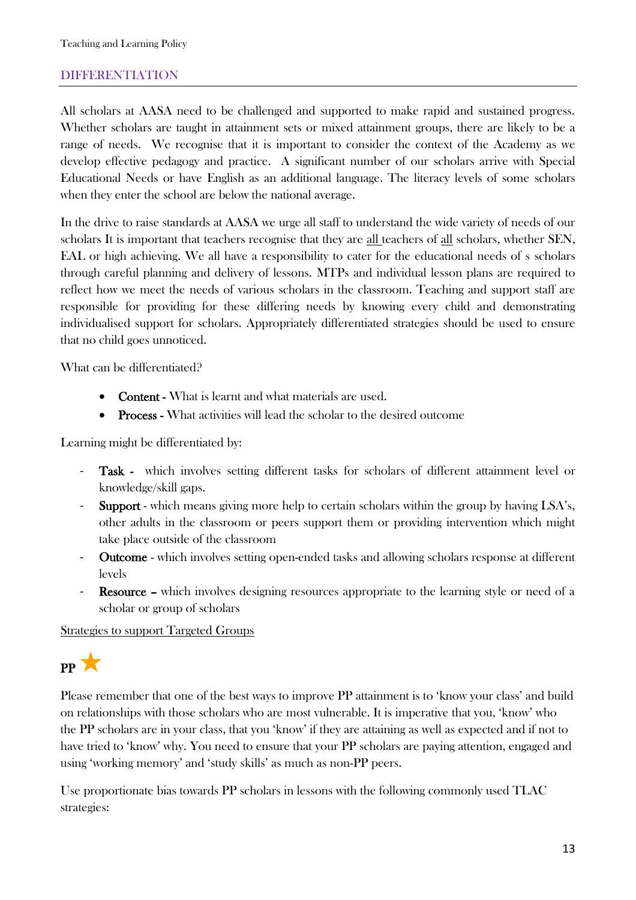### DIFFERENTIATION

All scholars at AASA need to be challenged and supported to make rapid and sustained progress. Whether scholars are taught in attainment sets or mixed attainment groups, there are likely to be a range of needs. We recognise that it is important to consider the context of the Academy as we develop effective pedagogy and practice. A significant number of our scholars arrive with Special Educational Needs or have English as an additional language. The literacy levels of some scholars when they enter the school are below the national average.

In the drive to raise standards at AASA we urge all staff to understand the wide variety of needs of our scholars It is important that teachers recognise that they are all teachers of all scholars, whether SEN, EAL or high achieving. We all have a responsibility to cater for the educational needs of s scholars through careful planning and delivery of lessons. MTPs and individual lesson plans are required to reflect how we meet the needs of various scholars in the classroom. Teaching and support staff are responsible for providing for these differing needs by knowing every child and demonstrating individualised support for scholars. Appropriately differentiated strategies should be used to ensure that no child goes unnoticed.

What can be differentiated?

- Content What is learnt and what materials are used.
- Process What activities will lead the scholar to the desired outcome

Learning might be differentiated by:

- Task which involves setting different tasks for scholars of different attainment level or knowledge/skill gaps.
- Support which means giving more help to certain scholars within the group by having LSA's, other adults in the classroom or peers support them or providing intervention which might take place outside of the classroom
- Outcome which involves setting open-ended tasks and allowing scholars response at different levels
- **Resource** which involves designing resources appropriate to the learning style or need of a scholar or group of scholars

#### **Strategies to support Targeted Groups**

PP X

Please remember that one of the best ways to improve PP attainment is to 'know your class' and build on relationships with those scholars who are most vulnerable. It is imperative that you, 'know' who the PP scholars are in your class, that you 'know' if they are attaining as well as expected and if not to have tried to 'know' why. You need to ensure that your PP scholars are paying attention, engaged and using 'working memory' and 'study skills' as much as non-PP peers.

Use proportionate bias towards PP scholars in lessons with the following commonly used TLAC strategies: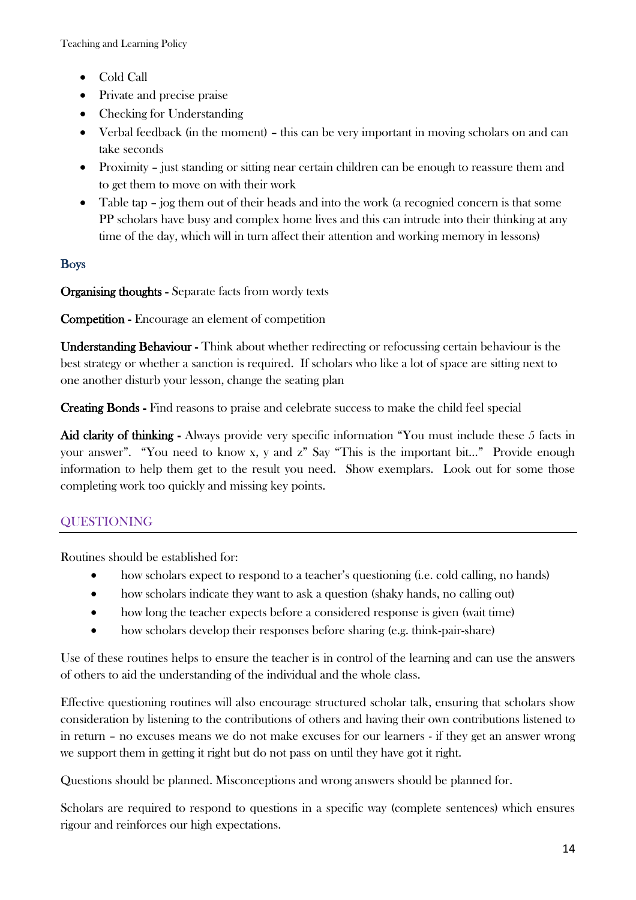- Cold Call
- Private and precise praise
- Checking for Understanding
- Verbal feedback (in the moment) this can be very important in moving scholars on and can take seconds
- Proximity just standing or sitting near certain children can be enough to reassure them and to get them to move on with their work
- Table tap jog them out of their heads and into the work (a recognied concern is that some PP scholars have busy and complex home lives and this can intrude into their thinking at any time of the day, which will in turn affect their attention and working memory in lessons)

# Boys

Organising thoughts - Separate facts from wordy texts

Competition - Encourage an element of competition

Understanding Behaviour - Think about whether redirecting or refocussing certain behaviour is the best strategy or whether a sanction is required. If scholars who like a lot of space are sitting next to one another disturb your lesson, change the seating plan

Creating Bonds - Find reasons to praise and celebrate success to make the child feel special

Aid clarity of thinking - Always provide very specific information "You must include these 5 facts in your answer". "You need to know x, y and z" Say "This is the important bit…" Provide enough information to help them get to the result you need. Show exemplars. Look out for some those completing work too quickly and missing key points.

# QUESTIONING

Routines should be established for:

- how scholars expect to respond to a teacher's questioning (i.e. cold calling, no hands)
- how scholars indicate they want to ask a question (shaky hands, no calling out)
- how long the teacher expects before a considered response is given (wait time)
- how scholars develop their responses before sharing (e.g. think-pair-share)

Use of these routines helps to ensure the teacher is in control of the learning and can use the answers of others to aid the understanding of the individual and the whole class.

Effective questioning routines will also encourage structured scholar talk, ensuring that scholars show consideration by listening to the contributions of others and having their own contributions listened to in return – no excuses means we do not make excuses for our learners - if they get an answer wrong we support them in getting it right but do not pass on until they have got it right.

Questions should be planned. Misconceptions and wrong answers should be planned for.

Scholars are required to respond to questions in a specific way (complete sentences) which ensures rigour and reinforces our high expectations.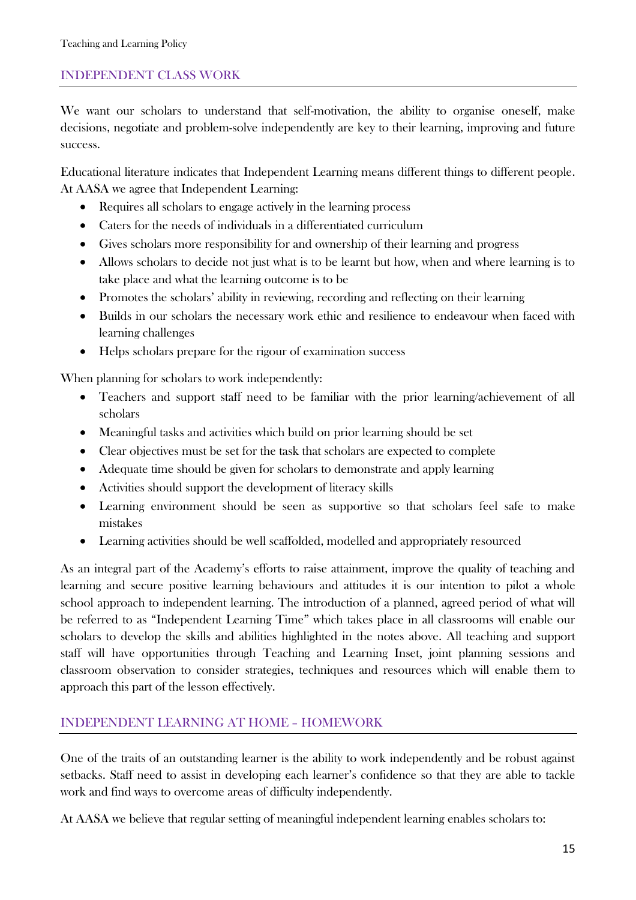# INDEPENDENT CLASS WORK

We want our scholars to understand that self-motivation, the ability to organise oneself, make decisions, negotiate and problem-solve independently are key to their learning, improving and future success.

Educational literature indicates that Independent Learning means different things to different people. At AASA we agree that Independent Learning:

- Requires all scholars to engage actively in the learning process
- Caters for the needs of individuals in a differentiated curriculum
- Gives scholars more responsibility for and ownership of their learning and progress
- Allows scholars to decide not just what is to be learnt but how, when and where learning is to take place and what the learning outcome is to be
- Promotes the scholars' ability in reviewing, recording and reflecting on their learning
- Builds in our scholars the necessary work ethic and resilience to endeavour when faced with learning challenges
- Helps scholars prepare for the rigour of examination success

When planning for scholars to work independently:

- Teachers and support staff need to be familiar with the prior learning/achievement of all scholars
- Meaningful tasks and activities which build on prior learning should be set
- Clear objectives must be set for the task that scholars are expected to complete
- Adequate time should be given for scholars to demonstrate and apply learning
- Activities should support the development of literacy skills
- Learning environment should be seen as supportive so that scholars feel safe to make mistakes
- Learning activities should be well scaffolded, modelled and appropriately resourced

As an integral part of the Academy's efforts to raise attainment, improve the quality of teaching and learning and secure positive learning behaviours and attitudes it is our intention to pilot a whole school approach to independent learning. The introduction of a planned, agreed period of what will be referred to as "Independent Learning Time" which takes place in all classrooms will enable our scholars to develop the skills and abilities highlighted in the notes above. All teaching and support staff will have opportunities through Teaching and Learning Inset, joint planning sessions and classroom observation to consider strategies, techniques and resources which will enable them to approach this part of the lesson effectively.

### INDEPENDENT LEARNING AT HOME – HOMEWORK

One of the traits of an outstanding learner is the ability to work independently and be robust against setbacks. Staff need to assist in developing each learner's confidence so that they are able to tackle work and find ways to overcome areas of difficulty independently.

At AASA we believe that regular setting of meaningful independent learning enables scholars to: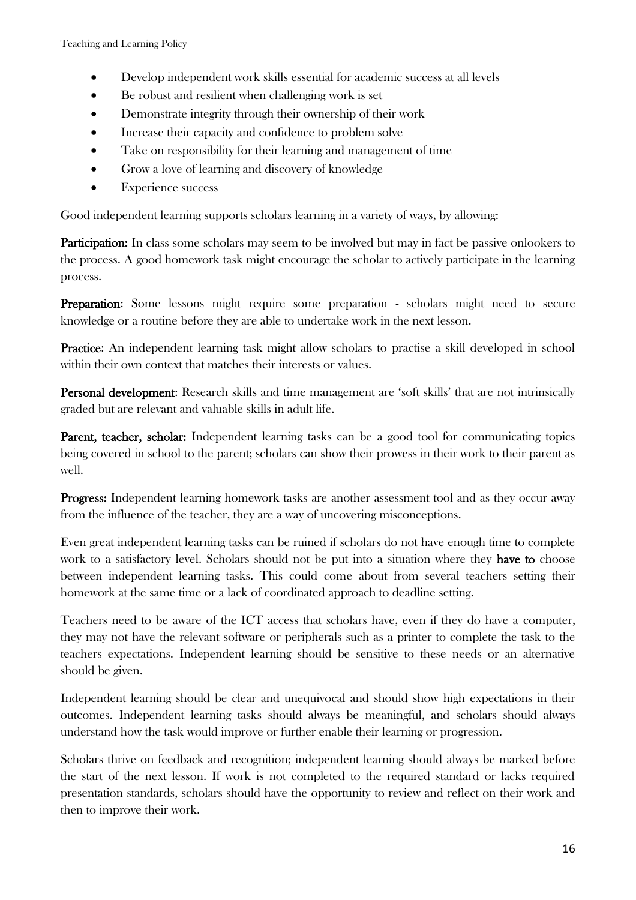- Develop independent work skills essential for academic success at all levels
- Be robust and resilient when challenging work is set
- Demonstrate integrity through their ownership of their work
- Increase their capacity and confidence to problem solve
- Take on responsibility for their learning and management of time
- Grow a love of learning and discovery of knowledge
- Experience success

Good independent learning supports scholars learning in a variety of ways, by allowing:

**Participation:** In class some scholars may seem to be involved but may in fact be passive onlookers to the process. A good homework task might encourage the scholar to actively participate in the learning process.

Preparation: Some lessons might require some preparation - scholars might need to secure knowledge or a routine before they are able to undertake work in the next lesson.

Practice: An independent learning task might allow scholars to practise a skill developed in school within their own context that matches their interests or values.

Personal development: Research skills and time management are 'soft skills' that are not intrinsically graded but are relevant and valuable skills in adult life.

Parent, teacher, scholar: Independent learning tasks can be a good tool for communicating topics being covered in school to the parent; scholars can show their prowess in their work to their parent as well.

Progress: Independent learning homework tasks are another assessment tool and as they occur away from the influence of the teacher, they are a way of uncovering misconceptions.

Even great independent learning tasks can be ruined if scholars do not have enough time to complete work to a satisfactory level. Scholars should not be put into a situation where they have to choose between independent learning tasks. This could come about from several teachers setting their homework at the same time or a lack of coordinated approach to deadline setting.

Teachers need to be aware of the ICT access that scholars have, even if they do have a computer, they may not have the relevant software or peripherals such as a printer to complete the task to the teachers expectations. Independent learning should be sensitive to these needs or an alternative should be given.

Independent learning should be clear and unequivocal and should show high expectations in their outcomes. Independent learning tasks should always be meaningful, and scholars should always understand how the task would improve or further enable their learning or progression.

Scholars thrive on feedback and recognition; independent learning should always be marked before the start of the next lesson. If work is not completed to the required standard or lacks required presentation standards, scholars should have the opportunity to review and reflect on their work and then to improve their work.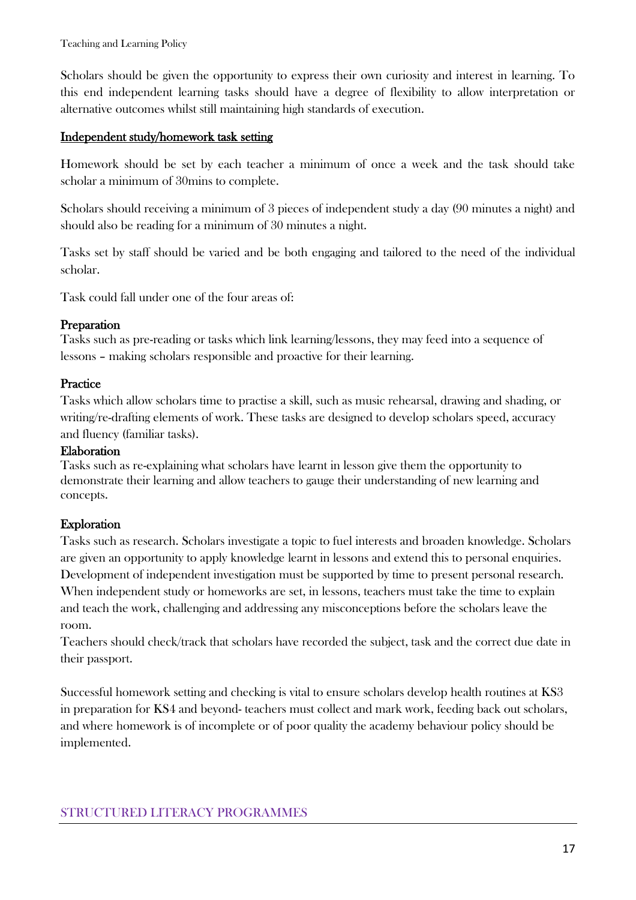Scholars should be given the opportunity to express their own curiosity and interest in learning. To this end independent learning tasks should have a degree of flexibility to allow interpretation or alternative outcomes whilst still maintaining high standards of execution.

### Independent study/homework task setting

Homework should be set by each teacher a minimum of once a week and the task should take scholar a minimum of 30mins to complete.

Scholars should receiving a minimum of 3 pieces of independent study a day (90 minutes a night) and should also be reading for a minimum of 30 minutes a night.

Tasks set by staff should be varied and be both engaging and tailored to the need of the individual scholar.

Task could fall under one of the four areas of:

# Preparation

Tasks such as pre-reading or tasks which link learning/lessons, they may feed into a sequence of lessons – making scholars responsible and proactive for their learning.

# **Practice**

Tasks which allow scholars time to practise a skill, such as music rehearsal, drawing and shading, or writing/re-drafting elements of work. These tasks are designed to develop scholars speed, accuracy and fluency (familiar tasks).

### Elaboration

Tasks such as re-explaining what scholars have learnt in lesson give them the opportunity to demonstrate their learning and allow teachers to gauge their understanding of new learning and concepts.

# Exploration

Tasks such as research. Scholars investigate a topic to fuel interests and broaden knowledge. Scholars are given an opportunity to apply knowledge learnt in lessons and extend this to personal enquiries. Development of independent investigation must be supported by time to present personal research. When independent study or homeworks are set, in lessons, teachers must take the time to explain and teach the work, challenging and addressing any misconceptions before the scholars leave the room.

Teachers should check/track that scholars have recorded the subject, task and the correct due date in their passport.

Successful homework setting and checking is vital to ensure scholars develop health routines at KS3 in preparation for KS4 and beyond- teachers must collect and mark work, feeding back out scholars, and where homework is of incomplete or of poor quality the academy behaviour policy should be implemented.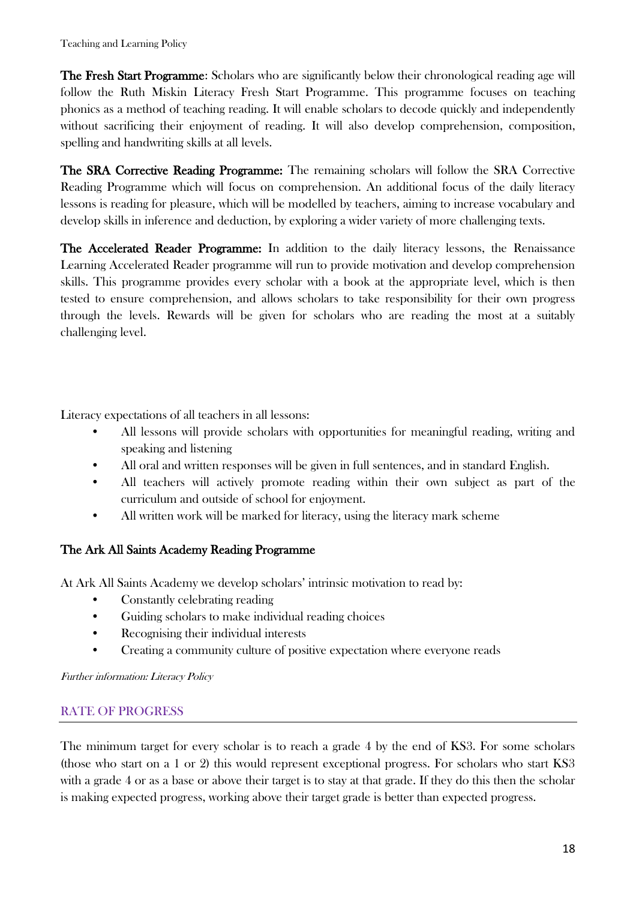The Fresh Start Programme: Scholars who are significantly below their chronological reading age will follow the Ruth Miskin Literacy Fresh Start Programme. This programme focuses on teaching phonics as a method of teaching reading. It will enable scholars to decode quickly and independently without sacrificing their enjoyment of reading. It will also develop comprehension, composition, spelling and handwriting skills at all levels.

The SRA Corrective Reading Programme: The remaining scholars will follow the SRA Corrective Reading Programme which will focus on comprehension. An additional focus of the daily literacy lessons is reading for pleasure, which will be modelled by teachers, aiming to increase vocabulary and develop skills in inference and deduction, by exploring a wider variety of more challenging texts.

The Accelerated Reader Programme: In addition to the daily literacy lessons, the Renaissance Learning Accelerated Reader programme will run to provide motivation and develop comprehension skills. This programme provides every scholar with a book at the appropriate level, which is then tested to ensure comprehension, and allows scholars to take responsibility for their own progress through the levels. Rewards will be given for scholars who are reading the most at a suitably challenging level.

Literacy expectations of all teachers in all lessons:

- All lessons will provide scholars with opportunities for meaningful reading, writing and speaking and listening
- All oral and written responses will be given in full sentences, and in standard English.
- All teachers will actively promote reading within their own subject as part of the curriculum and outside of school for enjoyment.
- All written work will be marked for literacy, using the literacy mark scheme

### The Ark All Saints Academy Reading Programme

At Ark All Saints Academy we develop scholars' intrinsic motivation to read by:

- Constantly celebrating reading
- Guiding scholars to make individual reading choices
- Recognising their individual interests
- Creating a community culture of positive expectation where everyone reads

Further information: Literacy Policy

### RATE OF PROGRESS

The minimum target for every scholar is to reach a grade 4 by the end of KS3. For some scholars (those who start on a 1 or 2) this would represent exceptional progress. For scholars who start KS3 with a grade 4 or as a base or above their target is to stay at that grade. If they do this then the scholar is making expected progress, working above their target grade is better than expected progress.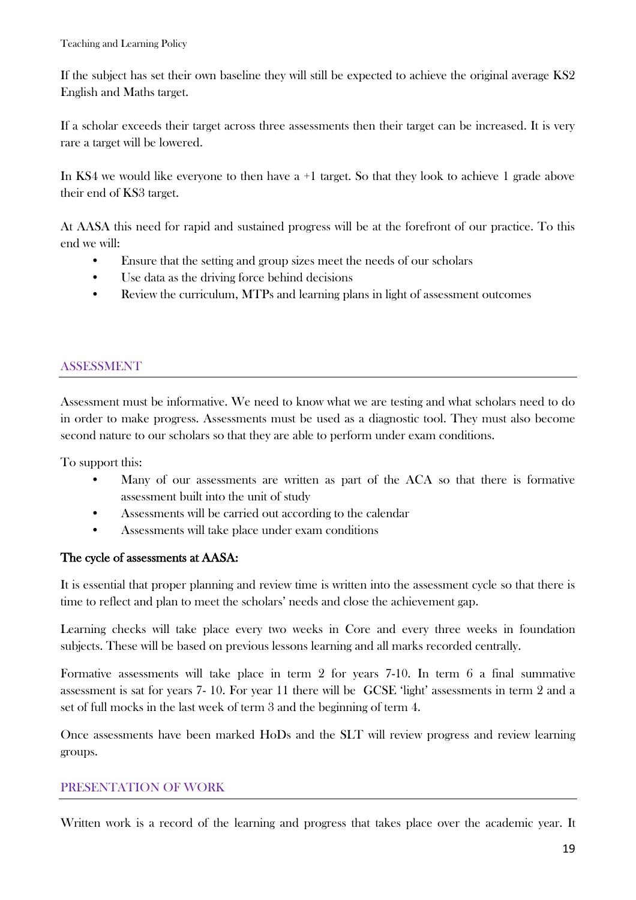If the subject has set their own baseline they will still be expected to achieve the original average KS2 English and Maths target.

If a scholar exceeds their target across three assessments then their target can be increased. It is very rare a target will be lowered.

In KS4 we would like everyone to then have a +1 target. So that they look to achieve 1 grade above their end of KS3 target.

At AASA this need for rapid and sustained progress will be at the forefront of our practice. To this end we will:

- Ensure that the setting and group sizes meet the needs of our scholars
- Use data as the driving force behind decisions
- Review the curriculum, MTPs and learning plans in light of assessment outcomes

# ASSESSMENT

Assessment must be informative. We need to know what we are testing and what scholars need to do in order to make progress. Assessments must be used as a diagnostic tool. They must also become second nature to our scholars so that they are able to perform under exam conditions.

To support this:

- Many of our assessments are written as part of the ACA so that there is formative assessment built into the unit of study
- Assessments will be carried out according to the calendar
- Assessments will take place under exam conditions

# The cycle of assessments at AASA:

It is essential that proper planning and review time is written into the assessment cycle so that there is time to reflect and plan to meet the scholars' needs and close the achievement gap.

Learning checks will take place every two weeks in Core and every three weeks in foundation subjects. These will be based on previous lessons learning and all marks recorded centrally.

Formative assessments will take place in term 2 for years 7-10. In term 6 a final summative assessment is sat for years 7- 10. For year 11 there will be GCSE 'light' assessments in term 2 and a set of full mocks in the last week of term 3 and the beginning of term 4.

Once assessments have been marked HoDs and the SLT will review progress and review learning groups.

# PRESENTATION OF WORK

Written work is a record of the learning and progress that takes place over the academic year. It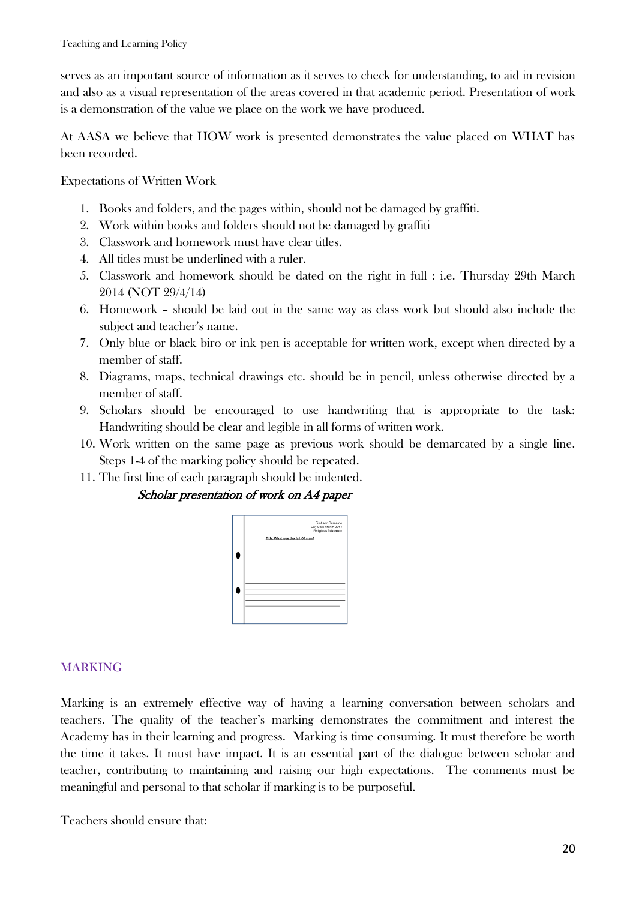serves as an important source of information as it serves to check for understanding, to aid in revision and also as a visual representation of the areas covered in that academic period. Presentation of work is a demonstration of the value we place on the work we have produced.

At AASA we believe that HOW work is presented demonstrates the value placed on WHAT has been recorded.

### Expectations of Written Work

- 1. Books and folders, and the pages within, should not be damaged by graffiti.
- 2. Work within books and folders should not be damaged by graffiti
- 3. Classwork and homework must have clear titles.
- 4. All titles must be underlined with a ruler.
- 5. Classwork and homework should be dated on the right in full : i.e. Thursday 29th March 2014 (NOT 29/4/14)
- 6. Homework should be laid out in the same way as class work but should also include the subject and teacher's name.
- 7. Only blue or black biro or ink pen is acceptable for written work, except when directed by a member of staff.
- 8. Diagrams, maps, technical drawings etc. should be in pencil, unless otherwise directed by a member of staff.
- 9. Scholars should be encouraged to use handwriting that is appropriate to the task: Handwriting should be clear and legible in all forms of written work.
- 10. Work written on the same page as previous work should be demarcated by a single line. Steps 1-4 of the marking policy should be repeated.
- 11. The first line of each paragraph should be indented.

### Scholar presentation of work on A4 paper



# MARKING

Marking is an extremely effective way of having a learning conversation between scholars and teachers. The quality of the teacher's marking demonstrates the commitment and interest the Academy has in their learning and progress. Marking is time consuming. It must therefore be worth the time it takes. It must have impact. It is an essential part of the dialogue between scholar and teacher, contributing to maintaining and raising our high expectations. The comments must be meaningful and personal to that scholar if marking is to be purposeful.

Teachers should ensure that: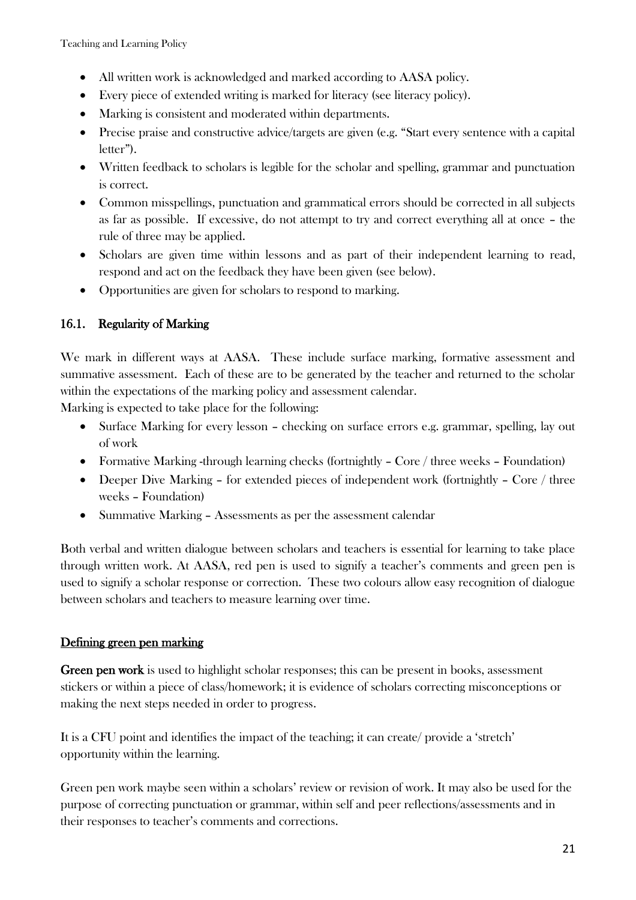- All written work is acknowledged and marked according to AASA policy.
- Every piece of extended writing is marked for literacy (see literacy policy).
- Marking is consistent and moderated within departments.
- Precise praise and constructive advice/targets are given (e.g. "Start every sentence with a capital letter").
- Written feedback to scholars is legible for the scholar and spelling, grammar and punctuation is correct.
- Common misspellings, punctuation and grammatical errors should be corrected in all subjects as far as possible. If excessive, do not attempt to try and correct everything all at once – the rule of three may be applied.
- Scholars are given time within lessons and as part of their independent learning to read, respond and act on the feedback they have been given (see below).
- Opportunities are given for scholars to respond to marking.

# 16.1. Regularity of Marking

We mark in different ways at AASA. These include surface marking, formative assessment and summative assessment. Each of these are to be generated by the teacher and returned to the scholar within the expectations of the marking policy and assessment calendar.

Marking is expected to take place for the following:

- Surface Marking for every lesson checking on surface errors e.g. grammar, spelling, lay out of work
- Formative Marking -through learning checks (fortnightly Core / three weeks Foundation)
- Deeper Dive Marking for extended pieces of independent work (fortnightly Core / three weeks – Foundation)
- Summative Marking Assessments as per the assessment calendar

Both verbal and written dialogue between scholars and teachers is essential for learning to take place through written work. At AASA, red pen is used to signify a teacher's comments and green pen is used to signify a scholar response or correction. These two colours allow easy recognition of dialogue between scholars and teachers to measure learning over time.

### Defining green pen marking

Green pen work is used to highlight scholar responses; this can be present in books, assessment stickers or within a piece of class/homework; it is evidence of scholars correcting misconceptions or making the next steps needed in order to progress.

It is a CFU point and identifies the impact of the teaching; it can create/ provide a 'stretch' opportunity within the learning.

Green pen work maybe seen within a scholars' review or revision of work. It may also be used for the purpose of correcting punctuation or grammar, within self and peer reflections/assessments and in their responses to teacher's comments and corrections.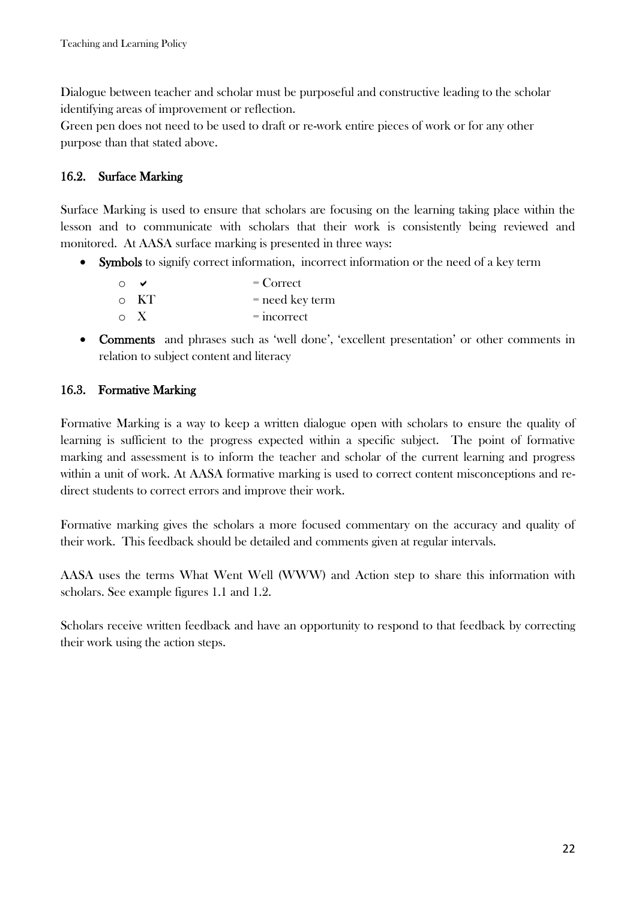Dialogue between teacher and scholar must be purposeful and constructive leading to the scholar identifying areas of improvement or reflection.

Green pen does not need to be used to draft or re-work entire pieces of work or for any other purpose than that stated above.

# 16.2. Surface Marking

Surface Marking is used to ensure that scholars are focusing on the learning taking place within the lesson and to communicate with scholars that their work is consistently being reviewed and monitored. At AASA surface marking is presented in three ways:

• Symbols to signify correct information, incorrect information or the need of a key term

| $\cap$ |            | $\overline{C}$ Correct |
|--------|------------|------------------------|
|        | $\circ$ KT | = need key term        |
|        | $\circ$ X  | $=$ incorrect          |

 Comments and phrases such as 'well done', 'excellent presentation' or other comments in relation to subject content and literacy

# 16.3. Formative Marking

Formative Marking is a way to keep a written dialogue open with scholars to ensure the quality of learning is sufficient to the progress expected within a specific subject. The point of formative marking and assessment is to inform the teacher and scholar of the current learning and progress within a unit of work. At AASA formative marking is used to correct content misconceptions and redirect students to correct errors and improve their work.

Formative marking gives the scholars a more focused commentary on the accuracy and quality of their work. This feedback should be detailed and comments given at regular intervals.

AASA uses the terms What Went Well (WWW) and Action step to share this information with scholars. See example figures 1.1 and 1.2.

Scholars receive written feedback and have an opportunity to respond to that feedback by correcting their work using the action steps.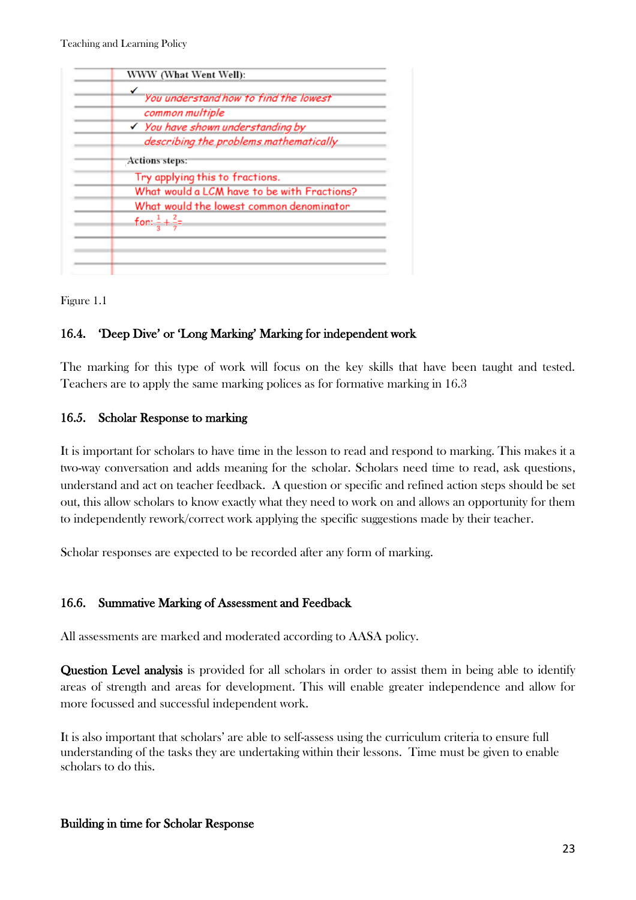| You understand how to find the lowest       |
|---------------------------------------------|
| common multiple                             |
| √ You have shown understanding by           |
| describing the problems mathematically      |
| <b>Actions steps:</b>                       |
| Try applying this to fractions.             |
| What would a LCM have to be with Fractions? |
| What would the lowest common denominator    |
| for: $\frac{1}{2} + \frac{2}{7}$            |
|                                             |

Figure 1.1

# 16.4. 'Deep Dive' or 'Long Marking' Marking for independent work

The marking for this type of work will focus on the key skills that have been taught and tested. Teachers are to apply the same marking polices as for formative marking in 16.3

# 16.5. Scholar Response to marking

It is important for scholars to have time in the lesson to read and respond to marking. This makes it a two-way conversation and adds meaning for the scholar. Scholars need time to read, ask questions, understand and act on teacher feedback. A question or specific and refined action steps should be set out, this allow scholars to know exactly what they need to work on and allows an opportunity for them to independently rework/correct work applying the specific suggestions made by their teacher.

Scholar responses are expected to be recorded after any form of marking.

# 16.6. Summative Marking of Assessment and Feedback

All assessments are marked and moderated according to AASA policy.

Question Level analysis is provided for all scholars in order to assist them in being able to identify areas of strength and areas for development. This will enable greater independence and allow for more focussed and successful independent work.

It is also important that scholars' are able to self-assess using the curriculum criteria to ensure full understanding of the tasks they are undertaking within their lessons. Time must be given to enable scholars to do this.

# Building in time for Scholar Response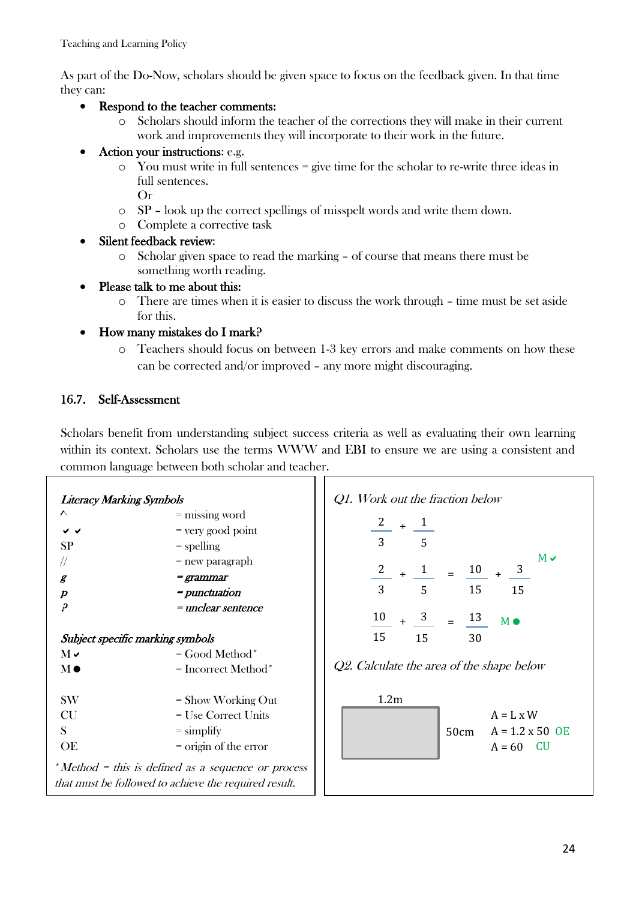As part of the Do-Now, scholars should be given space to focus on the feedback given. In that time they can:

- Respond to the teacher comments:
	- o Scholars should inform the teacher of the corrections they will make in their current work and improvements they will incorporate to their work in the future.
- Action your instructions: e.g.
	- o You must write in full sentences = give time for the scholar to re-write three ideas in full sentences.
		- Or
	- o SP look up the correct spellings of misspelt words and write them down.
	- o Complete a corrective task
- Silent feedback review:
	- o Scholar given space to read the marking of course that means there must be something worth reading.
- Please talk to me about this:
	- o There are times when it is easier to discuss the work through time must be set aside for this.
- How many mistakes do I mark?
	- o Teachers should focus on between 1-3 key errors and make comments on how these can be corrected and/or improved – any more might discouraging.

# 16.7. Self-Assessment

Scholars benefit from understanding subject success criteria as well as evaluating their own learning within its context. Scholars use the terms WWW and EBI to ensure we are using a consistent and common language between both scholar and teacher.

| <b>Literacy Marking Symbols</b>                       |                         | Q1. Work out the fraction below                               |  |  |  |
|-------------------------------------------------------|-------------------------|---------------------------------------------------------------|--|--|--|
| $\lambda$                                             | = missing word          |                                                               |  |  |  |
| $\checkmark$ $\checkmark$                             | = very good point       | $\frac{2}{-}$ + $\frac{1}{-}$                                 |  |  |  |
| <b>SP</b>                                             | $=$ spelling            | 3 <sup>1</sup><br>$\overline{5}$                              |  |  |  |
| //                                                    | $=$ new paragraph       | $M \vee$                                                      |  |  |  |
| $\boldsymbol{\mathcal{E}}$                            | <i>= grammar</i>        | $\frac{2}{-} + \frac{1}{-} = \frac{10}{+} + \frac{3}{-}$      |  |  |  |
| $\boldsymbol{p}$                                      | = <i>punctuation</i>    | 3<br>5 <sup>1</sup><br>15<br>15                               |  |  |  |
| $\overline{\rho}$                                     | = unclear sentence      |                                                               |  |  |  |
|                                                       |                         | $\frac{10}{10} + \frac{3}{10} = \frac{13}{10}$<br>M $\bullet$ |  |  |  |
| Subject specific marking symbols                      |                         | 15<br>15<br>30                                                |  |  |  |
| $M \vee$                                              | $=$ Good Method*        |                                                               |  |  |  |
| $M\bullet$                                            | $=$ Incorrect Method*   | Q2. Calculate the area of the shape below                     |  |  |  |
|                                                       |                         |                                                               |  |  |  |
| <b>SW</b>                                             | $=$ Show Working Out    | 1.2 <sub>m</sub>                                              |  |  |  |
| <b>CU</b>                                             | $=$ Use Correct Units   | $A = L \times W$                                              |  |  |  |
| S.                                                    | $=$ simplify            | $A = 1.2 \times 50$ OE<br>50cm                                |  |  |  |
| OE                                                    | $=$ origin of the error | $A = 60$ CU                                                   |  |  |  |
|                                                       |                         |                                                               |  |  |  |
| *Method = this is defined as a sequence or process    |                         |                                                               |  |  |  |
| that must be followed to achieve the required result. |                         |                                                               |  |  |  |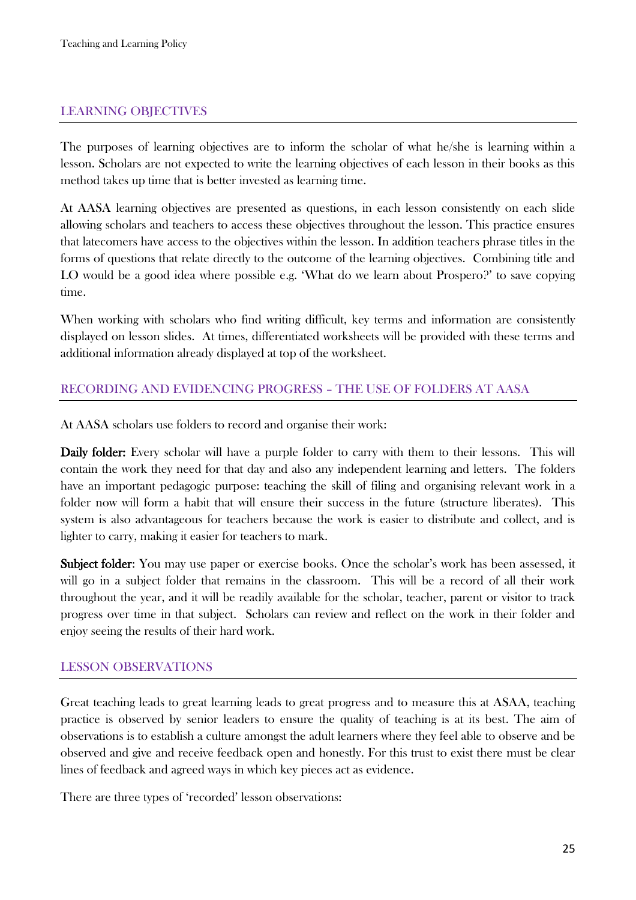# LEARNING OBJECTIVES

The purposes of learning objectives are to inform the scholar of what he/she is learning within a lesson. Scholars are not expected to write the learning objectives of each lesson in their books as this method takes up time that is better invested as learning time.

At AASA learning objectives are presented as questions, in each lesson consistently on each slide allowing scholars and teachers to access these objectives throughout the lesson. This practice ensures that latecomers have access to the objectives within the lesson. In addition teachers phrase titles in the forms of questions that relate directly to the outcome of the learning objectives. Combining title and LO would be a good idea where possible e.g. 'What do we learn about Prospero?' to save copying time.

When working with scholars who find writing difficult, key terms and information are consistently displayed on lesson slides. At times, differentiated worksheets will be provided with these terms and additional information already displayed at top of the worksheet.

# RECORDING AND EVIDENCING PROGRESS – THE USE OF FOLDERS AT AASA

At AASA scholars use folders to record and organise their work:

Daily folder: Every scholar will have a purple folder to carry with them to their lessons. This will contain the work they need for that day and also any independent learning and letters. The folders have an important pedagogic purpose: teaching the skill of filing and organising relevant work in a folder now will form a habit that will ensure their success in the future (structure liberates). This system is also advantageous for teachers because the work is easier to distribute and collect, and is lighter to carry, making it easier for teachers to mark.

Subject folder: You may use paper or exercise books. Once the scholar's work has been assessed, it will go in a subject folder that remains in the classroom. This will be a record of all their work throughout the year, and it will be readily available for the scholar, teacher, parent or visitor to track progress over time in that subject. Scholars can review and reflect on the work in their folder and enjoy seeing the results of their hard work.

### LESSON OBSERVATIONS

Great teaching leads to great learning leads to great progress and to measure this at ASAA, teaching practice is observed by senior leaders to ensure the quality of teaching is at its best. The aim of observations is to establish a culture amongst the adult learners where they feel able to observe and be observed and give and receive feedback open and honestly. For this trust to exist there must be clear lines of feedback and agreed ways in which key pieces act as evidence.

There are three types of 'recorded' lesson observations: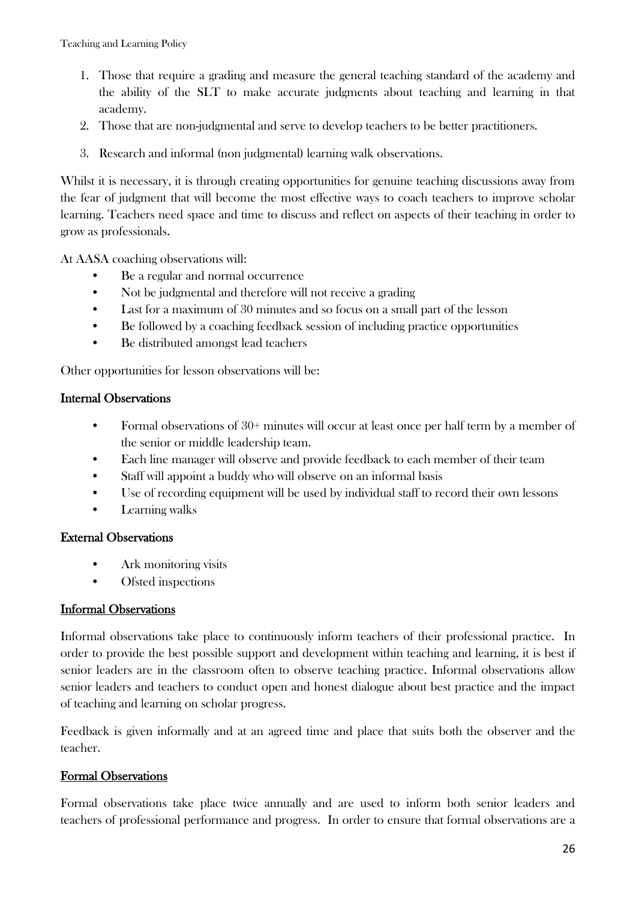- 1. Those that require a grading and measure the general teaching standard of the academy and the ability of the SLT to make accurate judgments about teaching and learning in that academy.
- 2. Those that are non-judgmental and serve to develop teachers to be better practitioners.
- 3. Research and informal (non judgmental) learning walk observations.

Whilst it is necessary, it is through creating opportunities for genuine teaching discussions away from the fear of judgment that will become the most effective ways to coach teachers to improve scholar learning. Teachers need space and time to discuss and reflect on aspects of their teaching in order to grow as professionals.

At AASA coaching observations will:

- Be a regular and normal occurrence
- Not be judgmental and therefore will not receive a grading
- Last for a maximum of 30 minutes and so focus on a small part of the lesson
- Be followed by a coaching feedback session of including practice opportunities
- Be distributed amongst lead teachers

Other opportunities for lesson observations will be:

### Internal Observations

- Formal observations of 30+ minutes will occur at least once per half term by a member of the senior or middle leadership team.
- Each line manager will observe and provide feedback to each member of their team
- Staff will appoint a buddy who will observe on an informal basis
- Use of recording equipment will be used by individual staff to record their own lessons
- Learning walks

### External Observations

- Ark monitoring visits
- Ofsted inspections

### Informal Observations

Informal observations take place to continuously inform teachers of their professional practice. In order to provide the best possible support and development within teaching and learning, it is best if senior leaders are in the classroom often to observe teaching practice. Informal observations allow senior leaders and teachers to conduct open and honest dialogue about best practice and the impact of teaching and learning on scholar progress.

Feedback is given informally and at an agreed time and place that suits both the observer and the teacher.

# Formal Observations

Formal observations take place twice annually and are used to inform both senior leaders and teachers of professional performance and progress. In order to ensure that formal observations are a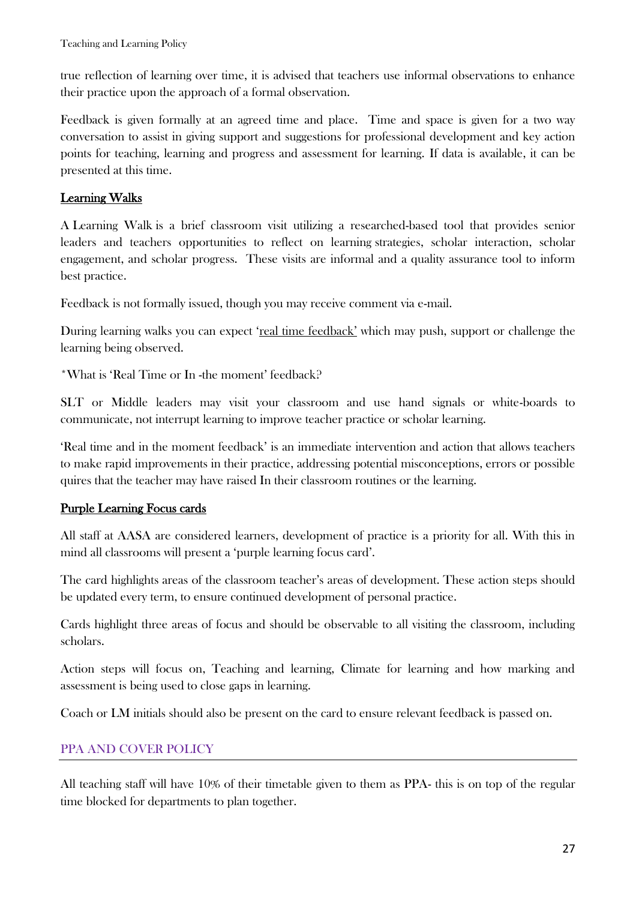true reflection of learning over time, it is advised that teachers use informal observations to enhance their practice upon the approach of a formal observation.

Feedback is given formally at an agreed time and place. Time and space is given for a two way conversation to assist in giving support and suggestions for professional development and key action points for teaching, learning and progress and assessment for learning. If data is available, it can be presented at this time.

# Learning Walks

A Learning Walk is a brief classroom visit utilizing a researched-based tool that provides senior leaders and teachers opportunities to reflect on learning strategies, scholar interaction, scholar engagement, and scholar progress. These visits are informal and a quality assurance tool to inform best practice.

Feedback is not formally issued, though you may receive comment via e-mail.

During learning walks you can expect '<u>real time feedback'</u> which may push, support or challenge the learning being observed.

\*What is 'Real Time or In -the moment' feedback?

SLT or Middle leaders may visit your classroom and use hand signals or white-boards to communicate, not interrupt learning to improve teacher practice or scholar learning.

'Real time and in the moment feedback' is an immediate intervention and action that allows teachers to make rapid improvements in their practice, addressing potential misconceptions, errors or possible quires that the teacher may have raised In their classroom routines or the learning.

# Purple Learning Focus cards

All staff at AASA are considered learners, development of practice is a priority for all. With this in mind all classrooms will present a 'purple learning focus card'.

The card highlights areas of the classroom teacher's areas of development. These action steps should be updated every term, to ensure continued development of personal practice.

Cards highlight three areas of focus and should be observable to all visiting the classroom, including scholars.

Action steps will focus on, Teaching and learning, Climate for learning and how marking and assessment is being used to close gaps in learning.

Coach or LM initials should also be present on the card to ensure relevant feedback is passed on.

# PPA AND COVER POLICY

All teaching staff will have 10% of their timetable given to them as PPA- this is on top of the regular time blocked for departments to plan together.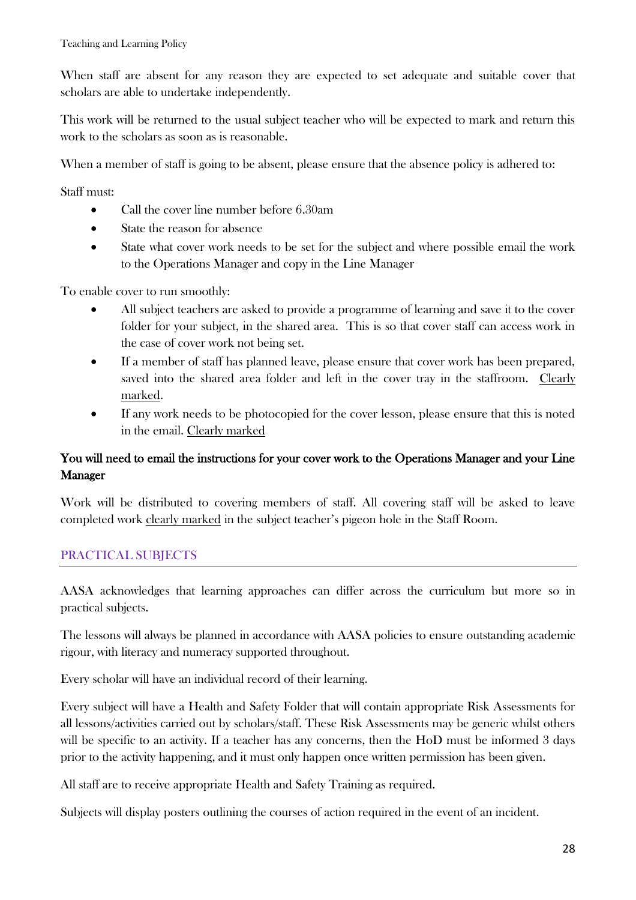When staff are absent for any reason they are expected to set adequate and suitable cover that scholars are able to undertake independently.

This work will be returned to the usual subject teacher who will be expected to mark and return this work to the scholars as soon as is reasonable.

When a member of staff is going to be absent, please ensure that the absence policy is adhered to:

Staff must:

- Call the cover line number before 6.30am
- State the reason for absence
- State what cover work needs to be set for the subject and where possible email the work to the Operations Manager and copy in the Line Manager

To enable cover to run smoothly:

- All subject teachers are asked to provide a programme of learning and save it to the cover folder for your subject, in the shared area. This is so that cover staff can access work in the case of cover work not being set.
- If a member of staff has planned leave, please ensure that cover work has been prepared, saved into the shared area folder and left in the cover tray in the staffroom. Clearly marked.
- If any work needs to be photocopied for the cover lesson, please ensure that this is noted in the email. Clearly marked

# You will need to email the instructions for your cover work to the Operations Manager and your Line Manager

Work will be distributed to covering members of staff. All covering staff will be asked to leave completed work clearly marked in the subject teacher's pigeon hole in the Staff Room.

# PRACTICAL SUBJECTS

AASA acknowledges that learning approaches can differ across the curriculum but more so in practical subjects.

The lessons will always be planned in accordance with AASA policies to ensure outstanding academic rigour, with literacy and numeracy supported throughout.

Every scholar will have an individual record of their learning.

Every subject will have a Health and Safety Folder that will contain appropriate Risk Assessments for all lessons/activities carried out by scholars/staff. These Risk Assessments may be generic whilst others will be specific to an activity. If a teacher has any concerns, then the HoD must be informed 3 days prior to the activity happening, and it must only happen once written permission has been given.

All staff are to receive appropriate Health and Safety Training as required.

Subjects will display posters outlining the courses of action required in the event of an incident.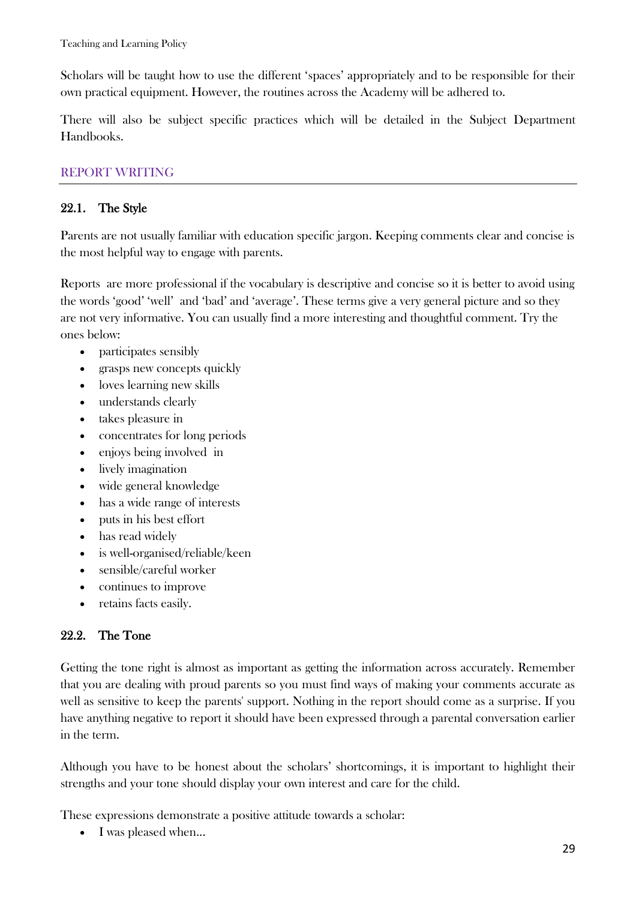Scholars will be taught how to use the different 'spaces' appropriately and to be responsible for their own practical equipment. However, the routines across the Academy will be adhered to.

There will also be subject specific practices which will be detailed in the Subject Department Handbooks.

# REPORT WRITING

### 22.1. The Style

Parents are not usually familiar with education specific jargon. Keeping comments clear and concise is the most helpful way to engage with parents.

Reports are more professional if the vocabulary is descriptive and concise so it is better to avoid using the words 'good' 'well' and 'bad' and 'average'. These terms give a very general picture and so they are not very informative. You can usually find a more interesting and thoughtful comment. Try the ones below:

- participates sensibly
- grasps new concepts quickly
- loves learning new skills
- understands clearly
- takes pleasure in
- concentrates for long periods
- enjoys being involved in
- lively imagination
- wide general knowledge
- has a wide range of interests
- puts in his best effort
- has read widely
- is well-organised/reliable/keen
- sensible/careful worker
- continues to improve
- retains facts easily.

# 22.2. The Tone

Getting the tone right is almost as important as getting the information across accurately. Remember that you are dealing with proud parents so you must find ways of making your comments accurate as well as sensitive to keep the parents' support. Nothing in the report should come as a surprise. If you have anything negative to report it should have been expressed through a parental conversation earlier in the term.

Although you have to be honest about the scholars' shortcomings, it is important to highlight their strengths and your tone should display your own interest and care for the child.

These expressions demonstrate a positive attitude towards a scholar:

• I was pleased when...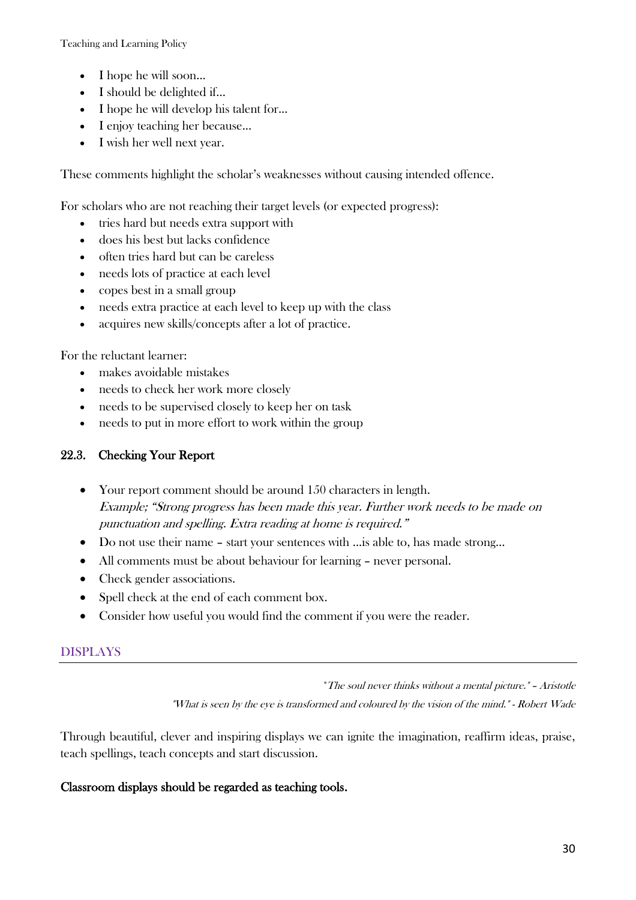- I hope he will soon...
- I should be delighted if...
- I hope he will develop his talent for...
- I enjoy teaching her because...
- I wish her well next year.

These comments highlight the scholar's weaknesses without causing intended offence.

For scholars who are not reaching their target levels (or expected progress):

- tries hard but needs extra support with
- does his best but lacks confidence
- often tries hard but can be careless
- needs lots of practice at each level
- copes best in a small group
- needs extra practice at each level to keep up with the class
- acquires new skills/concepts after a lot of practice.

For the reluctant learner:

- makes avoidable mistakes
- needs to check her work more closely
- needs to be supervised closely to keep her on task
- needs to put in more effort to work within the group

### 22.3. Checking Your Report

- Your report comment should be around 150 characters in length. Example; "Strong progress has been made this year. Further work needs to be made on punctuation and spelling. Extra reading at home is required."
- Do not use their name start your sentences with ...is able to, has made strong…
- All comments must be about behaviour for learning never personal.
- Check gender associations.
- Spell check at the end of each comment box.
- Consider how useful you would find the comment if you were the reader.

### DISPLAYS

"The soul never thinks without a mental picture." – Aristotle

"What is seen by the eye is transformed and coloured by the vision of the mind." - Robert Wade

Through beautiful, clever and inspiring displays we can ignite the imagination, reaffirm ideas, praise, teach spellings, teach concepts and start discussion.

#### Classroom displays should be regarded as teaching tools.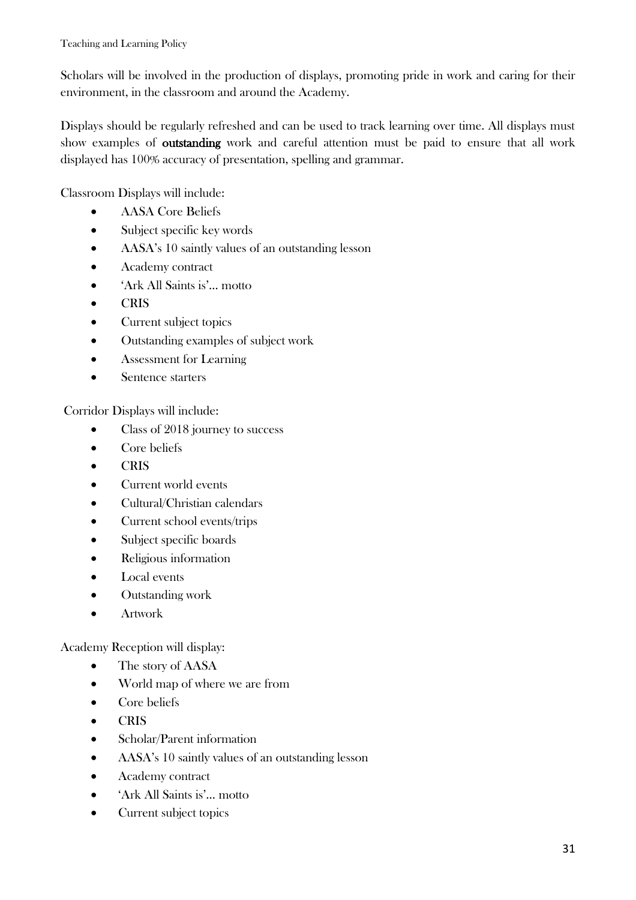Scholars will be involved in the production of displays, promoting pride in work and caring for their environment, in the classroom and around the Academy.

Displays should be regularly refreshed and can be used to track learning over time. All displays must show examples of outstanding work and careful attention must be paid to ensure that all work displayed has 100% accuracy of presentation, spelling and grammar.

Classroom Displays will include:

- AASA Core Beliefs
- Subject specific key words
- AASA's 10 saintly values of an outstanding lesson
- Academy contract
- 'Ark All Saints is'… motto
- CRIS
- Current subject topics
- Outstanding examples of subject work
- Assessment for Learning
- Sentence starters

Corridor Displays will include:

- Class of 2018 journey to success
- Core beliefs
- CRIS
- Current world events
- Cultural/Christian calendars
- Current school events/trips
- Subject specific boards
- Religious information
- Local events
- Outstanding work
- **•** Artwork

Academy Reception will display:

- The story of AASA
- World map of where we are from
- Core beliefs
- CRIS
- Scholar/Parent information
- AASA's 10 saintly values of an outstanding lesson
- Academy contract
- 'Ark All Saints is'… motto
- Current subject topics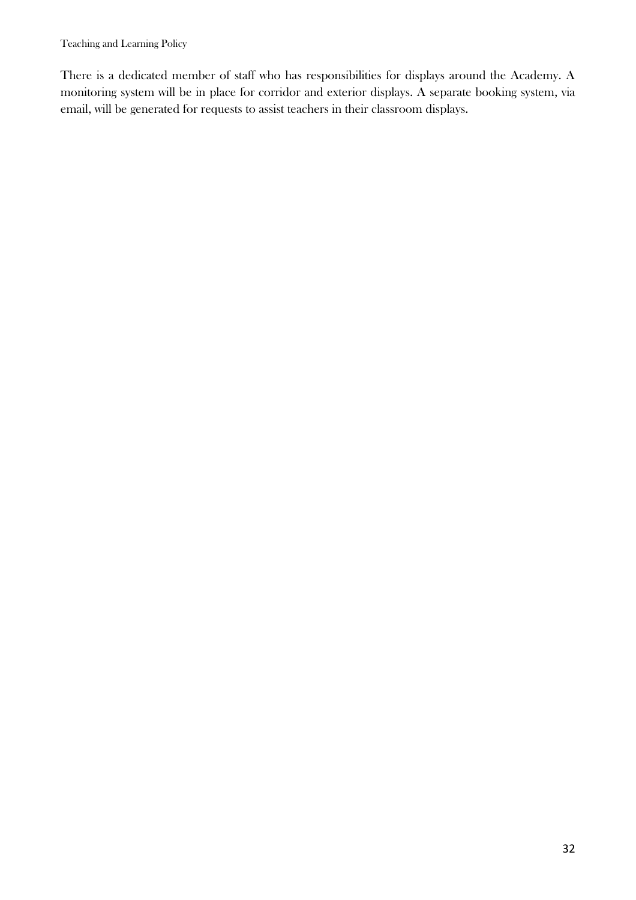There is a dedicated member of staff who has responsibilities for displays around the Academy. A monitoring system will be in place for corridor and exterior displays. A separate booking system, via email, will be generated for requests to assist teachers in their classroom displays.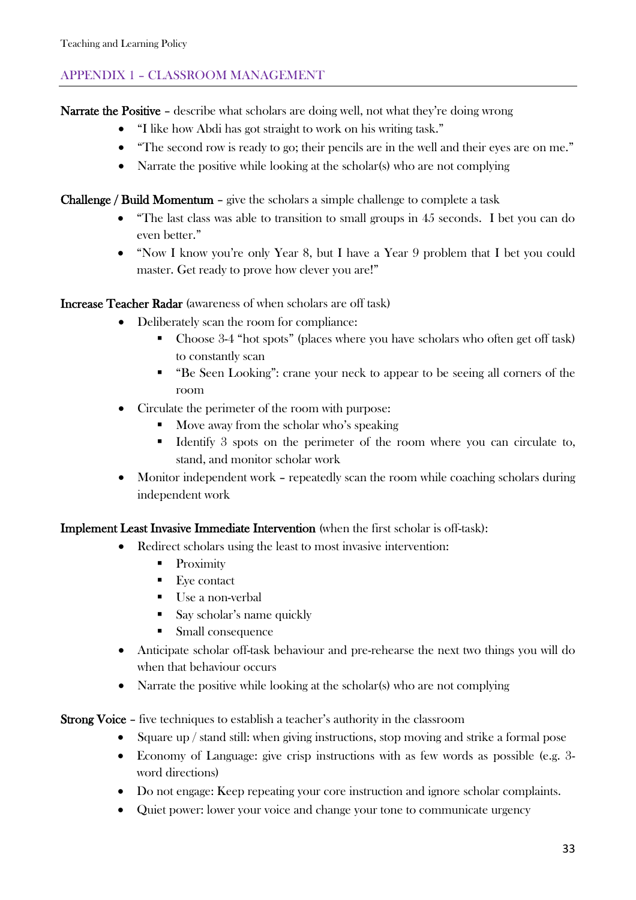# APPENDIX 1 – CLASSROOM MANAGEMENT

Narrate the Positive – describe what scholars are doing well, not what they're doing wrong

- "I like how Abdi has got straight to work on his writing task."
- "The second row is ready to go; their pencils are in the well and their eyes are on me."
- Narrate the positive while looking at the scholar(s) who are not complying

Challenge / Build Momentum – give the scholars a simple challenge to complete a task

- "The last class was able to transition to small groups in 45 seconds. I bet you can do even better."
- "Now I know you're only Year 8, but I have a Year 9 problem that I bet you could master. Get ready to prove how clever you are!"

Increase Teacher Radar (awareness of when scholars are off task)

- Deliberately scan the room for compliance:
	- Choose 3-4 "hot spots" (places where you have scholars who often get off task) to constantly scan
	- "Be Seen Looking": crane your neck to appear to be seeing all corners of the room
- Circulate the perimeter of the room with purpose:
	- Move away from the scholar who's speaking
	- Identify 3 spots on the perimeter of the room where you can circulate to, stand, and monitor scholar work
- Monitor independent work repeatedly scan the room while coaching scholars during independent work

### Implement Least Invasive Immediate Intervention (when the first scholar is off-task):

- Redirect scholars using the least to most invasive intervention:
	- Proximity
	- $\blacksquare$  Eye contact
	- Use a non-verbal
	- Say scholar's name quickly
	- **Small consequence**
- Anticipate scholar off-task behaviour and pre-rehearse the next two things you will do when that behaviour occurs
- Narrate the positive while looking at the scholar(s) who are not complying

Strong Voice – five techniques to establish a teacher's authority in the classroom

- Square up / stand still: when giving instructions, stop moving and strike a formal pose
- Economy of Language: give crisp instructions with as few words as possible (e.g. 3 word directions)
- Do not engage: Keep repeating your core instruction and ignore scholar complaints.
- Quiet power: lower your voice and change your tone to communicate urgency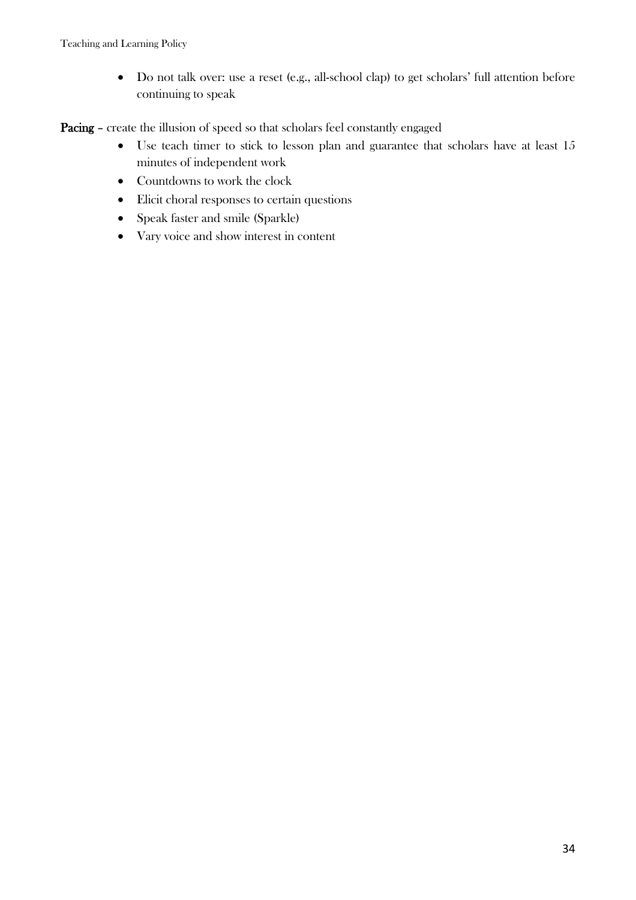Do not talk over: use a reset (e.g., all-school clap) to get scholars' full attention before continuing to speak

Pacing – create the illusion of speed so that scholars feel constantly engaged

- Use teach timer to stick to lesson plan and guarantee that scholars have at least 15 minutes of independent work
- Countdowns to work the clock
- Elicit choral responses to certain questions
- Speak faster and smile (Sparkle)
- Vary voice and show interest in content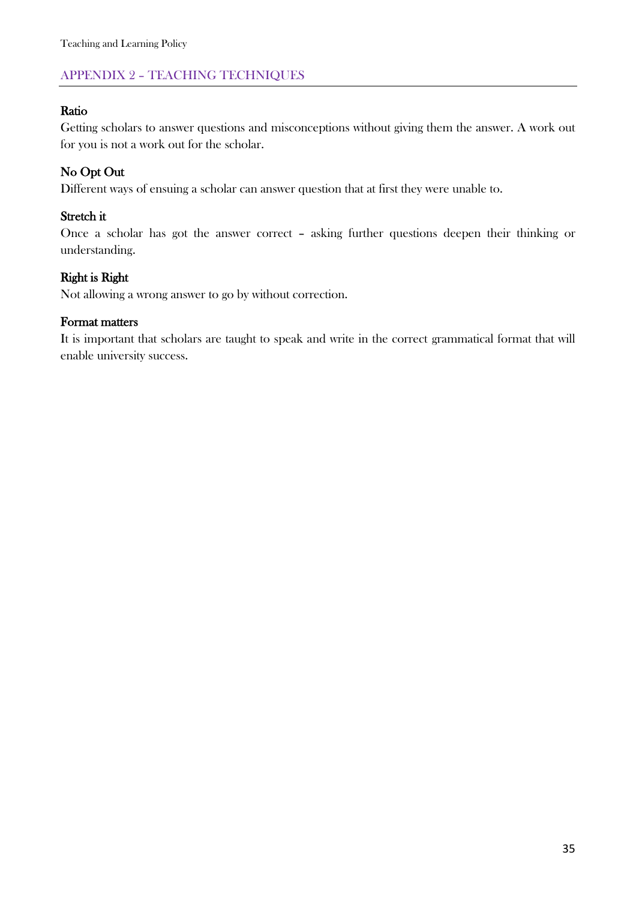# APPENDIX 2 – TEACHING TECHNIQUES

# Ratio

Getting scholars to answer questions and misconceptions without giving them the answer. A work out for you is not a work out for the scholar.

# No Opt Out

Different ways of ensuing a scholar can answer question that at first they were unable to.

### Stretch it

Once a scholar has got the answer correct – asking further questions deepen their thinking or understanding.

### Right is Right

Not allowing a wrong answer to go by without correction.

#### Format matters

It is important that scholars are taught to speak and write in the correct grammatical format that will enable university success.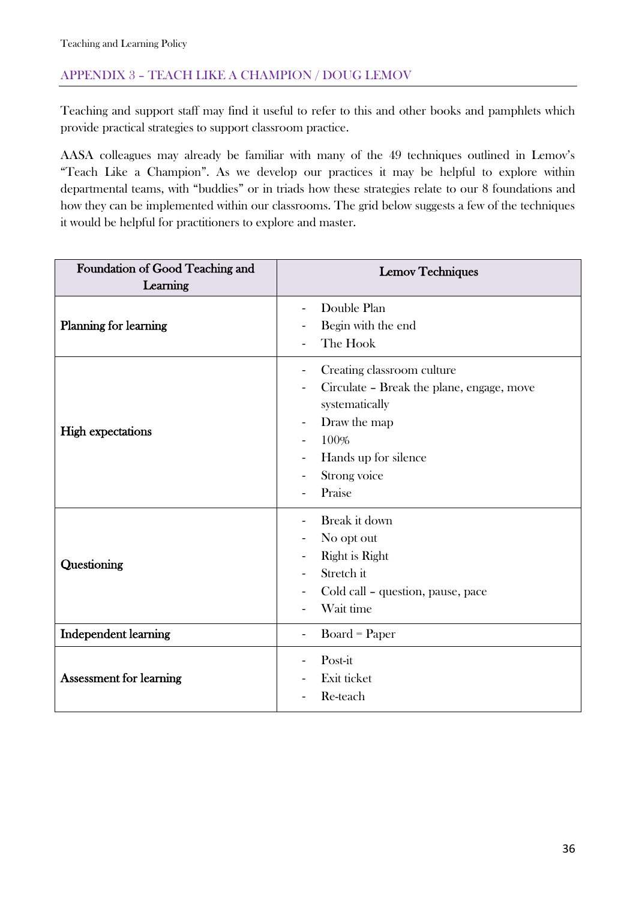# APPENDIX 3 – TEACH LIKE A CHAMPION / DOUG LEMOV

Teaching and support staff may find it useful to refer to this and other books and pamphlets which provide practical strategies to support classroom practice.

AASA colleagues may already be familiar with many of the 49 techniques outlined in Lemov's "Teach Like a Champion". As we develop our practices it may be helpful to explore within departmental teams, with "buddies" or in triads how these strategies relate to our 8 foundations and how they can be implemented within our classrooms. The grid below suggests a few of the techniques it would be helpful for practitioners to explore and master.

| Foundation of Good Teaching and | <b>Lemov Techniques</b>                                                                                                                                                                                           |  |  |  |
|---------------------------------|-------------------------------------------------------------------------------------------------------------------------------------------------------------------------------------------------------------------|--|--|--|
| Learning                        |                                                                                                                                                                                                                   |  |  |  |
| <b>Planning for learning</b>    | Double Plan<br>Begin with the end<br>The Hook                                                                                                                                                                     |  |  |  |
| <b>High expectations</b>        | Creating classroom culture<br>$\blacksquare$<br>Circulate - Break the plane, engage, move<br>systematically<br>Draw the map<br>$\overline{\phantom{a}}$<br>100%<br>Hands up for silence<br>Strong voice<br>Praise |  |  |  |
| Questioning                     | Break it down<br>No opt out<br>Right is Right<br>Stretch it<br>Cold call – question, pause, pace<br>Wait time                                                                                                     |  |  |  |
| Independent learning            | $Board = Paper$<br>$\blacksquare$                                                                                                                                                                                 |  |  |  |
| <b>Assessment for learning</b>  | Post-it<br>Exit ticket<br>Re-teach                                                                                                                                                                                |  |  |  |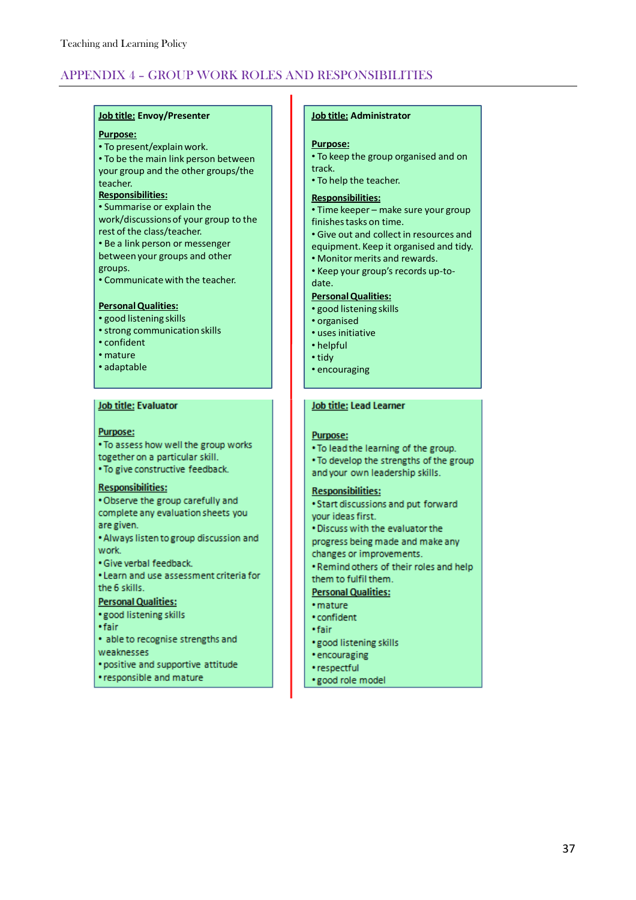# APPENDIX 4 – GROUP WORK ROLES AND RESPONSIBILITIES

#### **Job title: Envoy/Presenter**

#### **Purpose:**

• To present/explain work. • To be the main link person between your group and the other groups/the teacher.

#### **Responsibilities:**

• Summarise or explain the work/discussions of your group to the rest of the class/teacher. • Be a link person or messenger between your groups and other groups.

• Communicate with the teacher.

#### **Personal Qualities:**

- good listening skills
- strong communication skills
- confident
- mature
- adaptable

#### Job title: Evaluator

#### **Purpose:**

. To assess how well the group works together on a particular skill. . To give constructive feedback.

#### **Responsibilities:**

. Observe the group carefully and complete any evaluation sheets you are given.

. Always listen to group discussion and work

· Give verbal feedback.

. Learn and use assessment criteria for the 6 skills.

### **Personal Qualities:**

- · good listening skills
- · fair
- · able to recognise strengths and weaknesses
- · positive and supportive attitude
- responsible and mature

#### **Job title: Administrator**

#### **Purpose:**

- To keep the group organised and on track.
- To help the teacher.

#### **Responsibilities:**

- Time keeper make sure your group finishes tasks on time.
- Give out and collect in resources and
- equipment. Keep it organised and tidy.
- Monitor merits and rewards.
- Keep your group's records up-todate.

#### **Personal Qualities:**

- good listening skills
- organised
- uses initiative
- helpful
- tidy
- encouraging

#### Job title: Lead Learner

#### Purpose:

- . To lead the learning of the group. . To develop the strengths of the group
- and your own leadership skills.

#### **Responsibilities:**

- · Start discussions and put forward your ideas first.
- . Discuss with the evaluator the
- progress being made and make any changes or improvements.
- . Remind others of their roles and help them to fulfil them.

#### **Personal Qualities:**

- · mature
- confident
- · fair
- · good listening skills
- encouraging
- · respectful
- · good role model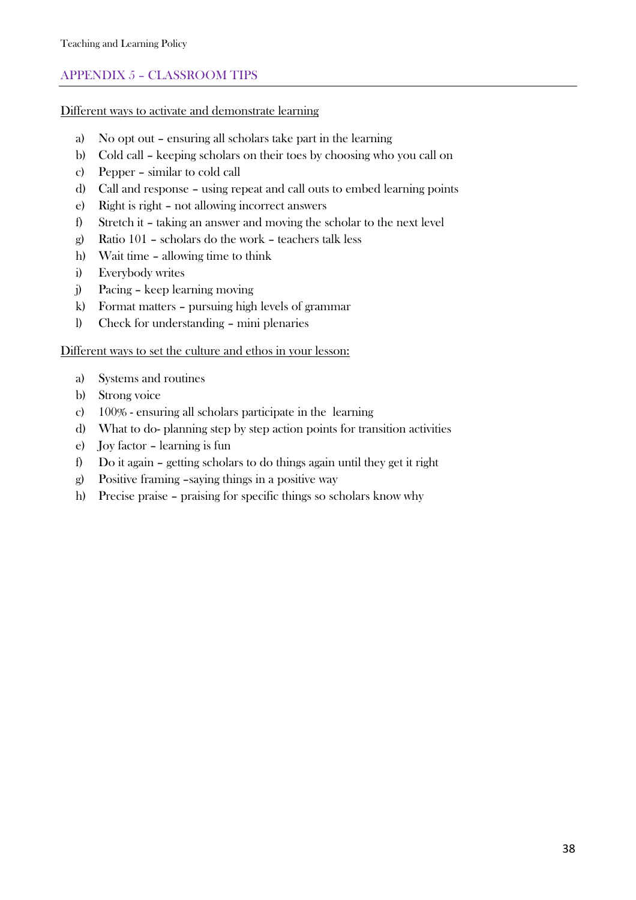# APPENDIX 5 – CLASSROOM TIPS

Different ways to activate and demonstrate learning

- a) No opt out ensuring all scholars take part in the learning
- b) Cold call keeping scholars on their toes by choosing who you call on
- c) Pepper similar to cold call
- d) Call and response using repeat and call outs to embed learning points
- e) Right is right not allowing incorrect answers
- f) Stretch it taking an answer and moving the scholar to the next level
- g) Ratio 101 scholars do the work teachers talk less
- h) Wait time allowing time to think
- i) Everybody writes
- j) Pacing keep learning moving
- k) Format matters pursuing high levels of grammar
- l) Check for understanding mini plenaries

#### Different ways to set the culture and ethos in your lesson:

- a) Systems and routines
- b) Strong voice
- c) 100% ensuring all scholars participate in the learning
- d) What to do- planning step by step action points for transition activities
- e) Joy factor learning is fun
- f) Do it again getting scholars to do things again until they get it right
- g) Positive framing –saying things in a positive way
- h) Precise praise praising for specific things so scholars know why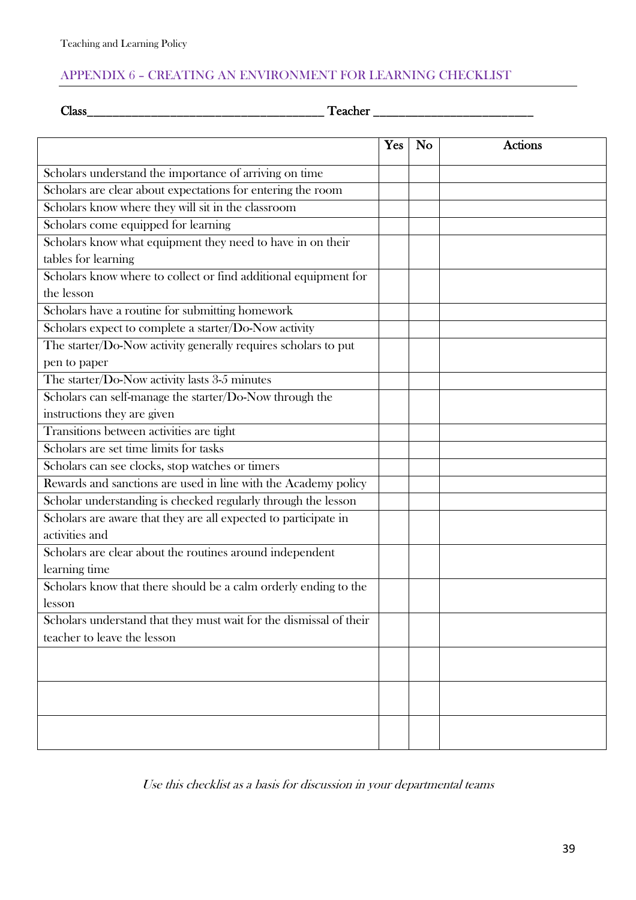# APPENDIX 6 – CREATING AN ENVIRONMENT FOR LEARNING CHECKLIST

Class\_\_\_\_\_\_\_\_\_\_\_\_\_\_\_\_\_\_\_\_\_\_\_\_\_\_\_\_\_\_\_\_\_\_\_\_\_ Teacher \_\_\_\_\_\_\_\_\_\_\_\_\_\_\_\_\_\_\_\_\_\_\_\_\_

|                                                                    | <b>Yes</b> | <b>No</b> | <b>Actions</b> |
|--------------------------------------------------------------------|------------|-----------|----------------|
| Scholars understand the importance of arriving on time             |            |           |                |
| Scholars are clear about expectations for entering the room        |            |           |                |
| Scholars know where they will sit in the classroom                 |            |           |                |
| Scholars come equipped for learning                                |            |           |                |
| Scholars know what equipment they need to have in on their         |            |           |                |
| tables for learning                                                |            |           |                |
| Scholars know where to collect or find additional equipment for    |            |           |                |
| the lesson                                                         |            |           |                |
| Scholars have a routine for submitting homework                    |            |           |                |
| Scholars expect to complete a starter/Do-Now activity              |            |           |                |
| The starter/Do-Now activity generally requires scholars to put     |            |           |                |
| pen to paper                                                       |            |           |                |
| The starter/Do-Now activity lasts 3-5 minutes                      |            |           |                |
| Scholars can self-manage the starter/Do-Now through the            |            |           |                |
| instructions they are given                                        |            |           |                |
| Transitions between activities are tight                           |            |           |                |
| Scholars are set time limits for tasks                             |            |           |                |
| Scholars can see clocks, stop watches or timers                    |            |           |                |
| Rewards and sanctions are used in line with the Academy policy     |            |           |                |
| Scholar understanding is checked regularly through the lesson      |            |           |                |
| Scholars are aware that they are all expected to participate in    |            |           |                |
| activities and                                                     |            |           |                |
| Scholars are clear about the routines around independent           |            |           |                |
| learning time                                                      |            |           |                |
| Scholars know that there should be a calm orderly ending to the    |            |           |                |
| lesson                                                             |            |           |                |
| Scholars understand that they must wait for the dismissal of their |            |           |                |
| teacher to leave the lesson                                        |            |           |                |
|                                                                    |            |           |                |
|                                                                    |            |           |                |
|                                                                    |            |           |                |
|                                                                    |            |           |                |
|                                                                    |            |           |                |
|                                                                    |            |           |                |

Use this checklist as a basis for discussion in your departmental teams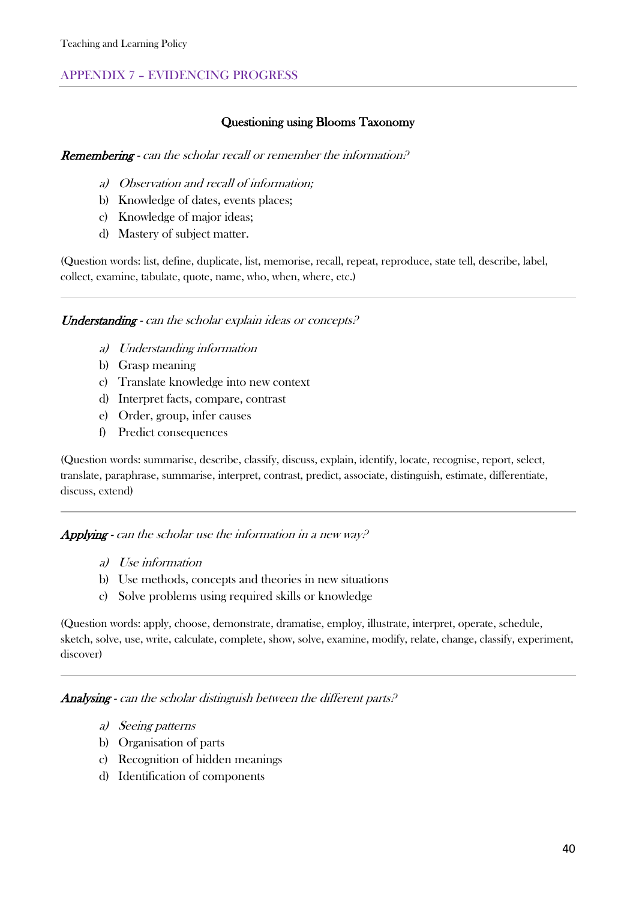# APPENDIX 7 – EVIDENCING PROGRESS

#### Questioning using Blooms Taxonomy

#### **Remembering** - can the scholar recall or remember the information.<sup>2</sup>

- a) Observation and recall of information;
- b) Knowledge of dates, events places;
- c) Knowledge of major ideas;
- d) Mastery of subject matter.

(Question words: list, define, duplicate, list, memorise, recall, repeat, reproduce, state tell, describe, label, collect, examine, tabulate, quote, name, who, when, where, etc.)

Understanding - can the scholar explain ideas or concepts.<sup>2</sup>

- a) Understanding information
- b) Grasp meaning
- c) Translate knowledge into new context
- d) Interpret facts, compare, contrast
- e) Order, group, infer causes
- f) Predict consequences

(Question words: summarise, describe, classify, discuss, explain, identify, locate, recognise, report, select, translate, paraphrase, summarise, interpret, contrast, predict, associate, distinguish, estimate, differentiate, discuss, extend)

#### **Applying** - can the scholar use the information in a new way.<sup>2</sup>

- a) Use information
- b) Use methods, concepts and theories in new situations
- c) Solve problems using required skills or knowledge

(Question words: apply, choose, demonstrate, dramatise, employ, illustrate, interpret, operate, schedule, sketch, solve, use, write, calculate, complete, show, solve, examine, modify, relate, change, classify, experiment, discover)

Analysing - can the scholar distinguish between the different parts.<sup>2</sup>

- a) Seeing patterns
- b) Organisation of parts
- c) Recognition of hidden meanings
- d) Identification of components